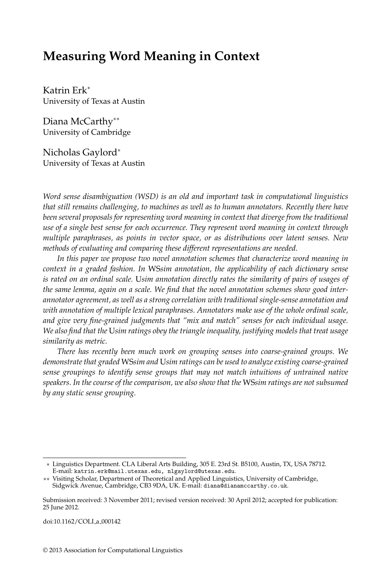# **Measuring Word Meaning in Context**

Katrin Erk<sup>∗</sup> University of Texas at Austin

Diana McCarthy∗∗ University of Cambridge

Nicholas Gaylord<sup>∗</sup> University of Texas at Austin

*Word sense disambiguation (WSD) is an old and important task in computational linguistics that still remains challenging, to machines as well as to human annotators. Recently there have been several proposals for representing word meaning in context that diverge from the traditional use of a single best sense for each occurrence. They represent word meaning in context through multiple paraphrases, as points in vector space, or as distributions over latent senses. New methods of evaluating and comparing these different representations are needed.*

*In this paper we propose two novel annotation schemes that characterize word meaning in context in a graded fashion. In* WS*sim annotation, the applicability of each dictionary sense is rated on an ordinal scale.* U*sim annotation directly rates the similarity of pairs of usages of the same lemma, again on a scale. We find that the novel annotation schemes show good interannotator agreement, as well as a strong correlation with traditional single-sense annotation and with annotation of multiple lexical paraphrases. Annotators make use of the whole ordinal scale, and give very fine-grained judgments that "mix and match" senses for each individual usage. We also find that the* U*sim ratings obey the triangle inequality, justifying models that treat usage similarity as metric.*

*There has recently been much work on grouping senses into coarse-grained groups. We demonstrate that graded* WS*sim and* U*sim ratings can be used to analyze existing coarse-grained sense groupings to identify sense groups that may not match intuitions of untrained native speakers. In the course of the comparison, we also show that the* WS*sim ratings are not subsumed by any static sense grouping.*

doi:10.1162/COLI a 000142

<sup>∗</sup> Linguistics Department. CLA Liberal Arts Building, 305 E. 23rd St. B5100, Austin, TX, USA 78712. E-mail: katrin.erk@mail.utexas.edu, nlgaylord@utexas.edu.

<sup>∗∗</sup> Visiting Scholar, Department of Theoretical and Applied Linguistics, University of Cambridge, Sidgwick Avenue, Cambridge, CB3 9DA, UK. E-mail: diana@dianamccarthy.co.uk.

Submission received: 3 November 2011; revised version received: 30 April 2012; accepted for publication: 25 June 2012.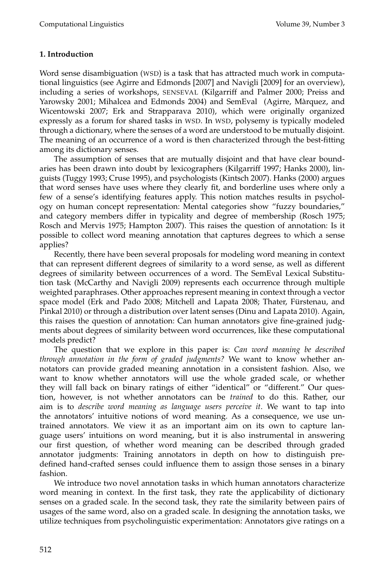## **1. Introduction**

Word sense disambiguation (WSD) is a task that has attracted much work in computational linguistics (see Agirre and Edmonds [2007] and Navigli [2009] for an overview), including a series of workshops, SENSEVAL (Kilgarriff and Palmer 2000; Preiss and Yarowsky 2001; Mihalcea and Edmonds 2004) and SemEval (Agirre, Marquez, and ` Wicentowski 2007; Erk and Strapparava 2010), which were originally organized expressly as a forum for shared tasks in WSD. In WSD, polysemy is typically modeled through a dictionary, where the senses of a word are understood to be mutually disjoint. The meaning of an occurrence of a word is then characterized through the best-fitting among its dictionary senses.

The assumption of senses that are mutually disjoint and that have clear boundaries has been drawn into doubt by lexicographers (Kilgarriff 1997; Hanks 2000), linguists (Tuggy 1993; Cruse 1995), and psychologists (Kintsch 2007). Hanks (2000) argues that word senses have uses where they clearly fit, and borderline uses where only a few of a sense's identifying features apply. This notion matches results in psychology on human concept representation: Mental categories show "fuzzy boundaries," and category members differ in typicality and degree of membership (Rosch 1975; Rosch and Mervis 1975; Hampton 2007). This raises the question of annotation: Is it possible to collect word meaning annotation that captures degrees to which a sense applies?

Recently, there have been several proposals for modeling word meaning in context that can represent different degrees of similarity to a word sense, as well as different degrees of similarity between occurrences of a word. The SemEval Lexical Substitution task (McCarthy and Navigli 2009) represents each occurrence through multiple weighted paraphrases. Other approaches represent meaning in context through a vector space model (Erk and Pado 2008; Mitchell and Lapata 2008; Thater, Fürstenau, and Pinkal 2010) or through a distribution over latent senses (Dinu and Lapata 2010). Again, this raises the question of annotation: Can human annotators give fine-grained judgments about degrees of similarity between word occurrences, like these computational models predict?

The question that we explore in this paper is: *Can word meaning be described through annotation in the form of graded judgments?* We want to know whether annotators can provide graded meaning annotation in a consistent fashion. Also, we want to know whether annotators will use the whole graded scale, or whether they will fall back on binary ratings of either "identical" or "different." Our question, however, is not whether annotators can be *trained* to do this. Rather, our aim is to *describe word meaning as language users perceive it*. We want to tap into the annotators' intuitive notions of word meaning. As a consequence, we use untrained annotators. We view it as an important aim on its own to capture language users' intuitions on word meaning, but it is also instrumental in answering our first question, of whether word meaning can be described through graded annotator judgments: Training annotators in depth on how to distinguish predefined hand-crafted senses could influence them to assign those senses in a binary fashion.

We introduce two novel annotation tasks in which human annotators characterize word meaning in context. In the first task, they rate the applicability of dictionary senses on a graded scale. In the second task, they rate the similarity between pairs of usages of the same word, also on a graded scale. In designing the annotation tasks, we utilize techniques from psycholinguistic experimentation: Annotators give ratings on a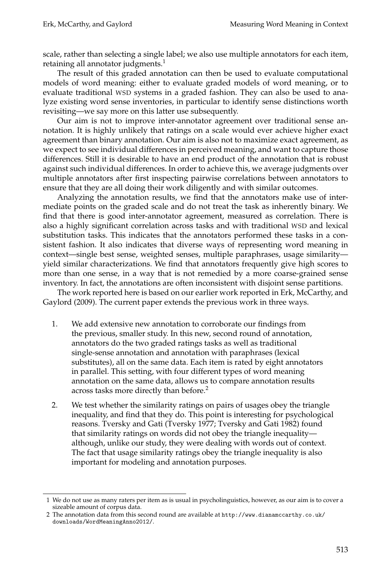scale, rather than selecting a single label; we also use multiple annotators for each item, retaining all annotator judgments. $1$ 

The result of this graded annotation can then be used to evaluate computational models of word meaning: either to evaluate graded models of word meaning, or to evaluate traditional WSD systems in a graded fashion. They can also be used to analyze existing word sense inventories, in particular to identify sense distinctions worth revisiting—we say more on this latter use subsequently.

Our aim is not to improve inter-annotator agreement over traditional sense annotation. It is highly unlikely that ratings on a scale would ever achieve higher exact agreement than binary annotation. Our aim is also not to maximize exact agreement, as we expect to see individual differences in perceived meaning, and want to capture those differences. Still it is desirable to have an end product of the annotation that is robust against such individual differences. In order to achieve this, we average judgments over multiple annotators after first inspecting pairwise correlations between annotators to ensure that they are all doing their work diligently and with similar outcomes.

Analyzing the annotation results, we find that the annotators make use of intermediate points on the graded scale and do not treat the task as inherently binary. We find that there is good inter-annotator agreement, measured as correlation. There is also a highly significant correlation across tasks and with traditional WSD and lexical substitution tasks. This indicates that the annotators performed these tasks in a consistent fashion. It also indicates that diverse ways of representing word meaning in context—single best sense, weighted senses, multiple paraphrases, usage similarity yield similar characterizations. We find that annotators frequently give high scores to more than one sense, in a way that is not remedied by a more coarse-grained sense inventory. In fact, the annotations are often inconsistent with disjoint sense partitions.

The work reported here is based on our earlier work reported in Erk, McCarthy, and Gaylord (2009). The current paper extends the previous work in three ways.

- 1. We add extensive new annotation to corroborate our findings from the previous, smaller study. In this new, second round of annotation, annotators do the two graded ratings tasks as well as traditional single-sense annotation and annotation with paraphrases (lexical substitutes), all on the same data. Each item is rated by eight annotators in parallel. This setting, with four different types of word meaning annotation on the same data, allows us to compare annotation results across tasks more directly than before.<sup>2</sup>
- 2. We test whether the similarity ratings on pairs of usages obey the triangle inequality, and find that they do. This point is interesting for psychological reasons. Tversky and Gati (Tversky 1977; Tversky and Gati 1982) found that similarity ratings on words did not obey the triangle inequality although, unlike our study, they were dealing with words out of context. The fact that usage similarity ratings obey the triangle inequality is also important for modeling and annotation purposes.

<sup>1</sup> We do not use as many raters per item as is usual in psycholinguistics, however, as our aim is to cover a sizeable amount of corpus data.

<sup>2</sup> The annotation data from this second round are available at http://www.dianamccarthy.co.uk/ downloads/WordMeaningAnno2012/.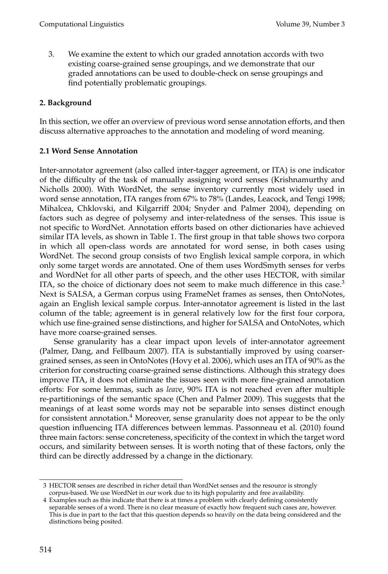3. We examine the extent to which our graded annotation accords with two existing coarse-grained sense groupings, and we demonstrate that our graded annotations can be used to double-check on sense groupings and find potentially problematic groupings.

## **2. Background**

In this section, we offer an overview of previous word sense annotation efforts, and then discuss alternative approaches to the annotation and modeling of word meaning.

## **2.1 Word Sense Annotation**

Inter-annotator agreement (also called inter-tagger agreement, or ITA) is one indicator of the difficulty of the task of manually assigning word senses (Krishnamurthy and Nicholls 2000). With WordNet, the sense inventory currently most widely used in word sense annotation, ITA ranges from 67% to 78% (Landes, Leacock, and Tengi 1998; Mihalcea, Chklovski, and Kilgarriff 2004; Snyder and Palmer 2004), depending on factors such as degree of polysemy and inter-relatedness of the senses. This issue is not specific to WordNet. Annotation efforts based on other dictionaries have achieved similar ITA levels, as shown in Table 1. The first group in that table shows two corpora in which all open-class words are annotated for word sense, in both cases using WordNet. The second group consists of two English lexical sample corpora, in which only some target words are annotated. One of them uses WordSmyth senses for verbs and WordNet for all other parts of speech, and the other uses HECTOR, with similar ITA, so the choice of dictionary does not seem to make much difference in this case. $3$ Next is SALSA, a German corpus using FrameNet frames as senses, then OntoNotes, again an English lexical sample corpus. Inter-annotator agreement is listed in the last column of the table; agreement is in general relatively low for the first four corpora, which use fine-grained sense distinctions, and higher for SALSA and OntoNotes, which have more coarse-grained senses.

Sense granularity has a clear impact upon levels of inter-annotator agreement (Palmer, Dang, and Fellbaum 2007). ITA is substantially improved by using coarsergrained senses, as seen in OntoNotes (Hovy et al. 2006), which uses an ITA of 90% as the criterion for constructing coarse-grained sense distinctions. Although this strategy does improve ITA, it does not eliminate the issues seen with more fine-grained annotation efforts: For some lemmas, such as *leave*, 90% ITA is not reached even after multiple re-partitionings of the semantic space (Chen and Palmer 2009). This suggests that the meanings of at least some words may not be separable into senses distinct enough for consistent annotation.<sup>4</sup> Moreover, sense granularity does not appear to be the only question influencing ITA differences between lemmas. Passonneau et al. (2010) found three main factors: sense concreteness, specificity of the context in which the target word occurs, and similarity between senses. It is worth noting that of these factors, only the third can be directly addressed by a change in the dictionary.

<sup>3</sup> HECTOR senses are described in richer detail than WordNet senses and the resource is strongly corpus-based. We use WordNet in our work due to its high popularity and free availability.

<sup>4</sup> Examples such as this indicate that there is at times a problem with clearly defining consistently separable senses of a word. There is no clear measure of exactly how frequent such cases are, however. This is due in part to the fact that this question depends so heavily on the data being considered and the distinctions being posited.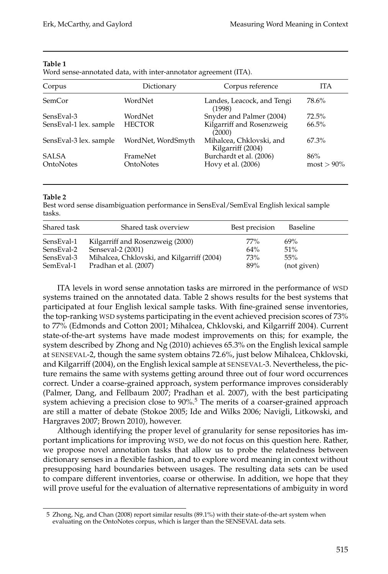Word sense-annotated data, with inter-annotator agreement (ITA).

| Corpus                 | Dictionary         | Corpus reference                              | <b>ITA</b>    |
|------------------------|--------------------|-----------------------------------------------|---------------|
| SemCor                 | WordNet            | Landes, Leacock, and Tengi<br>(1998)          | 78.6%         |
| SensEval-3             | WordNet            | Snyder and Palmer (2004)                      | $72.5\%$      |
| SensEval-1 lex. sample | <b>HECTOR</b>      | Kilgarriff and Rosenzweig<br>(2000)           | 66.5%         |
| SensEval-3 lex. sample | WordNet, WordSmyth | Mihalcea, Chklovski, and<br>Kilgarriff (2004) | 67.3%         |
| SALSA                  | FrameNet           | Burchardt et al. (2006)                       | 86%           |
| OntoNotes              | OntoNotes          | Hovy et al. (2006)                            | $most > 90\%$ |

#### **Table 2**

Best word sense disambiguation performance in SensEval/SemEval English lexical sample tasks.

| Shared task | Shared task overview                       | Best precision | <b>Baseline</b> |
|-------------|--------------------------------------------|----------------|-----------------|
| SensEval-1  | Kilgarriff and Rosenzweig (2000)           | 77%            | 69%             |
| SensEval-2  | Senseval-2 (2001)                          | $64\%$         | 51%             |
| SensEval-3  | Mihalcea, Chklovski, and Kilgarriff (2004) | 73%            | 55%             |
| SemEval-1   | Pradhan et al. (2007)                      | 89%            | (not given)     |

ITA levels in word sense annotation tasks are mirrored in the performance of WSD systems trained on the annotated data. Table 2 shows results for the best systems that participated at four English lexical sample tasks. With fine-grained sense inventories, the top-ranking WSD systems participating in the event achieved precision scores of 73% to 77% (Edmonds and Cotton 2001; Mihalcea, Chklovski, and Kilgarriff 2004). Current state-of-the-art systems have made modest improvements on this; for example, the system described by Zhong and Ng (2010) achieves 65.3% on the English lexical sample at SENSEVAL-2, though the same system obtains 72.6%, just below Mihalcea, Chklovski, and Kilgarriff (2004), on the English lexical sample at SENSEVAL-3. Nevertheless, the picture remains the same with systems getting around three out of four word occurrences correct. Under a coarse-grained approach, system performance improves considerably (Palmer, Dang, and Fellbaum 2007; Pradhan et al. 2007), with the best participating system achieving a precision close to 90%.<sup>5</sup> The merits of a coarser-grained approach are still a matter of debate (Stokoe 2005; Ide and Wilks 2006; Navigli, Litkowski, and Hargraves 2007; Brown 2010), however.

Although identifying the proper level of granularity for sense repositories has important implications for improving WSD, we do not focus on this question here. Rather, we propose novel annotation tasks that allow us to probe the relatedness between dictionary senses in a flexible fashion, and to explore word meaning in context without presupposing hard boundaries between usages. The resulting data sets can be used to compare different inventories, coarse or otherwise. In addition, we hope that they will prove useful for the evaluation of alternative representations of ambiguity in word

<sup>5</sup> Zhong, Ng, and Chan (2008) report similar results (89.1%) with their state-of-the-art system when evaluating on the OntoNotes corpus, which is larger than the SENSEVAL data sets.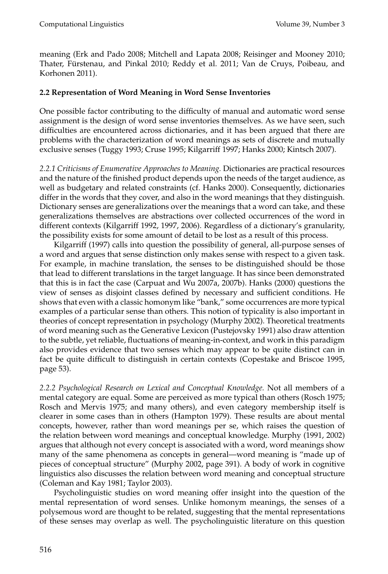meaning (Erk and Pado 2008; Mitchell and Lapata 2008; Reisinger and Mooney 2010; Thater, Fürstenau, and Pinkal 2010; Reddy et al. 2011; Van de Cruys, Poibeau, and Korhonen 2011).

## **2.2 Representation of Word Meaning in Word Sense Inventories**

One possible factor contributing to the difficulty of manual and automatic word sense assignment is the design of word sense inventories themselves. As we have seen, such difficulties are encountered across dictionaries, and it has been argued that there are problems with the characterization of word meanings as sets of discrete and mutually exclusive senses (Tuggy 1993; Cruse 1995; Kilgarriff 1997; Hanks 2000; Kintsch 2007).

*2.2.1 Criticisms of Enumerative Approaches to Meaning.* Dictionaries are practical resources and the nature of the finished product depends upon the needs of the target audience, as well as budgetary and related constraints (cf. Hanks 2000). Consequently, dictionaries differ in the words that they cover, and also in the word meanings that they distinguish. Dictionary senses are generalizations over the meanings that a word can take, and these generalizations themselves are abstractions over collected occurrences of the word in different contexts (Kilgarriff 1992, 1997, 2006). Regardless of a dictionary's granularity, the possibility exists for some amount of detail to be lost as a result of this process.

Kilgarriff (1997) calls into question the possibility of general, all-purpose senses of a word and argues that sense distinction only makes sense with respect to a given task. For example, in machine translation, the senses to be distinguished should be those that lead to different translations in the target language. It has since been demonstrated that this is in fact the case (Carpuat and Wu 2007a, 2007b). Hanks (2000) questions the view of senses as disjoint classes defined by necessary and sufficient conditions. He shows that even with a classic homonym like "bank," some occurrences are more typical examples of a particular sense than others. This notion of typicality is also important in theories of concept representation in psychology (Murphy 2002). Theoretical treatments of word meaning such as the Generative Lexicon (Pustejovsky 1991) also draw attention to the subtle, yet reliable, fluctuations of meaning-in-context, and work in this paradigm also provides evidence that two senses which may appear to be quite distinct can in fact be quite difficult to distinguish in certain contexts (Copestake and Briscoe 1995, page 53).

*2.2.2 Psychological Research on Lexical and Conceptual Knowledge.* Not all members of a mental category are equal. Some are perceived as more typical than others (Rosch 1975; Rosch and Mervis 1975; and many others), and even category membership itself is clearer in some cases than in others (Hampton 1979). These results are about mental concepts, however, rather than word meanings per se, which raises the question of the relation between word meanings and conceptual knowledge. Murphy (1991, 2002) argues that although not every concept is associated with a word, word meanings show many of the same phenomena as concepts in general—word meaning is "made up of pieces of conceptual structure" (Murphy 2002, page 391). A body of work in cognitive linguistics also discusses the relation between word meaning and conceptual structure (Coleman and Kay 1981; Taylor 2003).

Psycholinguistic studies on word meaning offer insight into the question of the mental representation of word senses. Unlike homonym meanings, the senses of a polysemous word are thought to be related, suggesting that the mental representations of these senses may overlap as well. The psycholinguistic literature on this question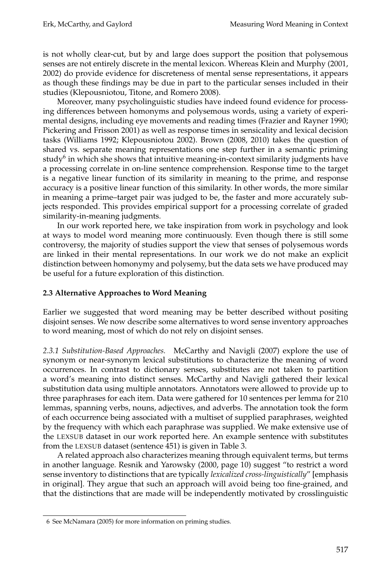is not wholly clear-cut, but by and large does support the position that polysemous senses are not entirely discrete in the mental lexicon. Whereas Klein and Murphy (2001, 2002) do provide evidence for discreteness of mental sense representations, it appears as though these findings may be due in part to the particular senses included in their studies (Klepousniotou, Titone, and Romero 2008).

Moreover, many psycholinguistic studies have indeed found evidence for processing differences between homonyms and polysemous words, using a variety of experimental designs, including eye movements and reading times (Frazier and Rayner 1990; Pickering and Frisson 2001) as well as response times in sensicality and lexical decision tasks (Williams 1992; Klepousniotou 2002). Brown (2008, 2010) takes the question of shared vs. separate meaning representations one step further in a semantic priming study<sup>6</sup> in which she shows that intuitive meaning-in-context similarity judgments have a processing correlate in on-line sentence comprehension. Response time to the target is a negative linear function of its similarity in meaning to the prime, and response accuracy is a positive linear function of this similarity. In other words, the more similar in meaning a prime–target pair was judged to be, the faster and more accurately subjects responded. This provides empirical support for a processing correlate of graded similarity-in-meaning judgments.

In our work reported here, we take inspiration from work in psychology and look at ways to model word meaning more continuously. Even though there is still some controversy, the majority of studies support the view that senses of polysemous words are linked in their mental representations. In our work we do not make an explicit distinction between homonymy and polysemy, but the data sets we have produced may be useful for a future exploration of this distinction.

## **2.3 Alternative Approaches to Word Meaning**

Earlier we suggested that word meaning may be better described without positing disjoint senses. We now describe some alternatives to word sense inventory approaches to word meaning, most of which do not rely on disjoint senses.

*2.3.1 Substitution-Based Approaches.* McCarthy and Navigli (2007) explore the use of synonym or near-synonym lexical substitutions to characterize the meaning of word occurrences. In contrast to dictionary senses, substitutes are not taken to partition a word's meaning into distinct senses. McCarthy and Navigli gathered their lexical substitution data using multiple annotators. Annotators were allowed to provide up to three paraphrases for each item. Data were gathered for 10 sentences per lemma for 210 lemmas, spanning verbs, nouns, adjectives, and adverbs. The annotation took the form of each occurrence being associated with a multiset of supplied paraphrases, weighted by the frequency with which each paraphrase was supplied. We make extensive use of the LEXSUB dataset in our work reported here. An example sentence with substitutes from the LEXSUB dataset (sentence 451) is given in Table 3.

A related approach also characterizes meaning through equivalent terms, but terms in another language. Resnik and Yarowsky (2000, page 10) suggest "to restrict a word sense inventory to distinctions that are typically *lexicalized cross-linguistically*" [emphasis in original]. They argue that such an approach will avoid being too fine-grained, and that the distinctions that are made will be independently motivated by crosslinguistic

<sup>6</sup> See McNamara (2005) for more information on priming studies.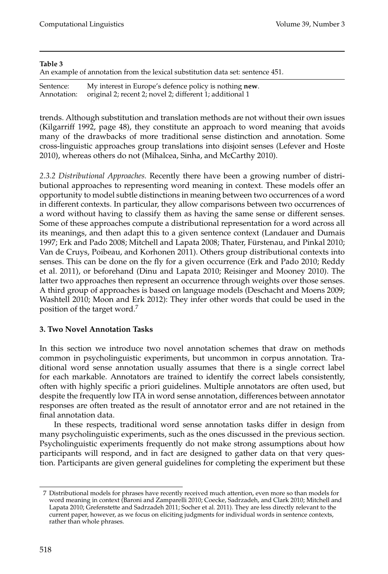An example of annotation from the lexical substitution data set: sentence 451.

Sentence: My interest in Europe's defence policy is nothing **new**. Annotation: original 2; recent 2; novel 2; different 1; additional 1

trends. Although substitution and translation methods are not without their own issues (Kilgarriff 1992, page 48), they constitute an approach to word meaning that avoids many of the drawbacks of more traditional sense distinction and annotation. Some cross-linguistic approaches group translations into disjoint senses (Lefever and Hoste 2010), whereas others do not (Mihalcea, Sinha, and McCarthy 2010).

*2.3.2 Distributional Approaches.* Recently there have been a growing number of distributional approaches to representing word meaning in context. These models offer an opportunity to model subtle distinctions in meaning between two occurrences of a word in different contexts. In particular, they allow comparisons between two occurrences of a word without having to classify them as having the same sense or different senses. Some of these approaches compute a distributional representation for a word across all its meanings, and then adapt this to a given sentence context (Landauer and Dumais 1997; Erk and Pado 2008; Mitchell and Lapata 2008; Thater, Fürstenau, and Pinkal 2010; Van de Cruys, Poibeau, and Korhonen 2011). Others group distributional contexts into senses. This can be done on the fly for a given occurrence (Erk and Pado 2010; Reddy et al. 2011), or beforehand (Dinu and Lapata 2010; Reisinger and Mooney 2010). The latter two approaches then represent an occurrence through weights over those senses. A third group of approaches is based on language models (Deschacht and Moens 2009; Washtell 2010; Moon and Erk 2012): They infer other words that could be used in the position of the target word.<sup>7</sup>

## **3. Two Novel Annotation Tasks**

In this section we introduce two novel annotation schemes that draw on methods common in psycholinguistic experiments, but uncommon in corpus annotation. Traditional word sense annotation usually assumes that there is a single correct label for each markable. Annotators are trained to identify the correct labels consistently, often with highly specific a priori guidelines. Multiple annotators are often used, but despite the frequently low ITA in word sense annotation, differences between annotator responses are often treated as the result of annotator error and are not retained in the final annotation data.

In these respects, traditional word sense annotation tasks differ in design from many psycholinguistic experiments, such as the ones discussed in the previous section. Psycholinguistic experiments frequently do not make strong assumptions about how participants will respond, and in fact are designed to gather data on that very question. Participants are given general guidelines for completing the experiment but these

<sup>7</sup> Distributional models for phrases have recently received much attention, even more so than models for word meaning in context (Baroni and Zamparelli 2010; Coecke, Sadrzadeh, and Clark 2010; Mitchell and Lapata 2010; Grefenstette and Sadrzadeh 2011; Socher et al. 2011). They are less directly relevant to the current paper, however, as we focus on eliciting judgments for individual words in sentence contexts, rather than whole phrases.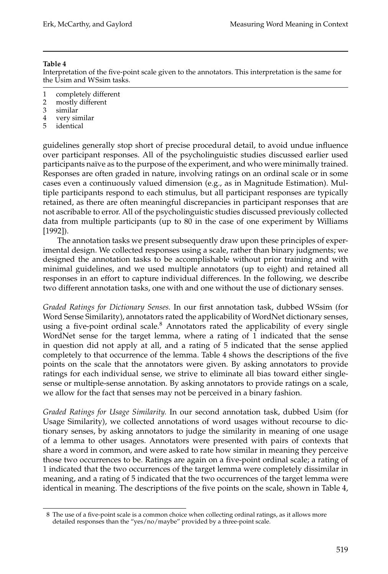Interpretation of the five-point scale given to the annotators. This interpretation is the same for the Usim and WSsim tasks.

- 1 completely different
- 2 mostly different<br>3 similar
- similar
- 4 very similar
- 5 identical

guidelines generally stop short of precise procedural detail, to avoid undue influence over participant responses. All of the psycholinguistic studies discussed earlier used participants naïve as to the purpose of the experiment, and who were minimally trained. Responses are often graded in nature, involving ratings on an ordinal scale or in some cases even a continuously valued dimension (e.g., as in Magnitude Estimation). Multiple participants respond to each stimulus, but all participant responses are typically retained, as there are often meaningful discrepancies in participant responses that are not ascribable to error. All of the psycholinguistic studies discussed previously collected data from multiple participants (up to 80 in the case of one experiment by Williams [1992]).

The annotation tasks we present subsequently draw upon these principles of experimental design. We collected responses using a scale, rather than binary judgments; we designed the annotation tasks to be accomplishable without prior training and with minimal guidelines, and we used multiple annotators (up to eight) and retained all responses in an effort to capture individual differences. In the following, we describe two different annotation tasks, one with and one without the use of dictionary senses.

*Graded Ratings for Dictionary Senses.* In our first annotation task, dubbed WSsim (for Word Sense Similarity), annotators rated the applicability of WordNet dictionary senses, using a five-point ordinal scale. $8$  Annotators rated the applicability of every single WordNet sense for the target lemma, where a rating of 1 indicated that the sense in question did not apply at all, and a rating of 5 indicated that the sense applied completely to that occurrence of the lemma. Table 4 shows the descriptions of the five points on the scale that the annotators were given. By asking annotators to provide ratings for each individual sense, we strive to eliminate all bias toward either singlesense or multiple-sense annotation. By asking annotators to provide ratings on a scale, we allow for the fact that senses may not be perceived in a binary fashion.

*Graded Ratings for Usage Similarity.* In our second annotation task, dubbed Usim (for Usage Similarity), we collected annotations of word usages without recourse to dictionary senses, by asking annotators to judge the similarity in meaning of one usage of a lemma to other usages. Annotators were presented with pairs of contexts that share a word in common, and were asked to rate how similar in meaning they perceive those two occurrences to be. Ratings are again on a five-point ordinal scale; a rating of 1 indicated that the two occurrences of the target lemma were completely dissimilar in meaning, and a rating of 5 indicated that the two occurrences of the target lemma were identical in meaning. The descriptions of the five points on the scale, shown in Table 4,

<sup>8</sup> The use of a five-point scale is a common choice when collecting ordinal ratings, as it allows more detailed responses than the "yes/no/maybe" provided by a three-point scale.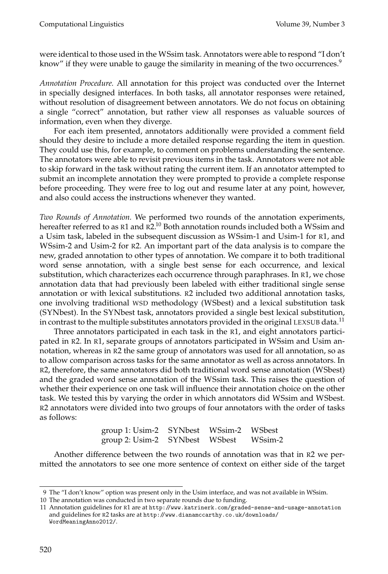were identical to those used in the WSsim task. Annotators were able to respond "I don't know" if they were unable to gauge the similarity in meaning of the two occurrences.<sup>9</sup>

*Annotation Procedure.* All annotation for this project was conducted over the Internet in specially designed interfaces. In both tasks, all annotator responses were retained, without resolution of disagreement between annotators. We do not focus on obtaining a single "correct" annotation, but rather view all responses as valuable sources of information, even when they diverge.

For each item presented, annotators additionally were provided a comment field should they desire to include a more detailed response regarding the item in question. They could use this, for example, to comment on problems understanding the sentence. The annotators were able to revisit previous items in the task. Annotators were not able to skip forward in the task without rating the current item. If an annotator attempted to submit an incomplete annotation they were prompted to provide a complete response before proceeding. They were free to log out and resume later at any point, however, and also could access the instructions whenever they wanted.

*Two Rounds of Annotation.* We performed two rounds of the annotation experiments, hereafter referred to as R1 and  $R2^{10}$  Both annotation rounds included both a WSsim and a Usim task, labeled in the subsequent discussion as WSsim-1 and Usim-1 for R1, and WSsim-2 and Usim-2 for R2. An important part of the data analysis is to compare the new, graded annotation to other types of annotation. We compare it to both traditional word sense annotation, with a single best sense for each occurrence, and lexical substitution, which characterizes each occurrence through paraphrases. In R1, we chose annotation data that had previously been labeled with either traditional single sense annotation or with lexical substitutions. R2 included two additional annotation tasks, one involving traditional WSD methodology (WSbest) and a lexical substitution task (SYNbest). In the SYNbest task, annotators provided a single best lexical substitution, in contrast to the multiple substitutes annotators provided in the original LEXSUB data.<sup>11</sup>

Three annotators participated in each task in the R1, and eight annotators participated in R2. In R1, separate groups of annotators participated in WSsim and Usim annotation, whereas in R2 the same group of annotators was used for all annotation, so as to allow comparison across tasks for the same annotator as well as across annotators. In R2, therefore, the same annotators did both traditional word sense annotation (WSbest) and the graded word sense annotation of the WSsim task. This raises the question of whether their experience on one task will influence their annotation choice on the other task. We tested this by varying the order in which annotators did WSsim and WSbest. R2 annotators were divided into two groups of four annotators with the order of tasks as follows:

| group 1: Usim-2 |                | SYNbest WSsim-2 | WSbest  |
|-----------------|----------------|-----------------|---------|
| group 2: Usim-2 | SYNbest WSbest |                 | WSsim-2 |

Another difference between the two rounds of annotation was that in R2 we permitted the annotators to see one more sentence of context on either side of the target

<sup>9</sup> The "I don't know" option was present only in the Usim interface, and was not available in WSsim.

<sup>10</sup> The annotation was conducted in two separate rounds due to funding.

<sup>11</sup> Annotation guidelines for R1 are at http://www.katrinerk.com/graded-sense-and-usage-annotation and guidelines for R2 tasks are at http://www.dianamccarthy.co.uk/downloads/ WordMeaningAnno2012/.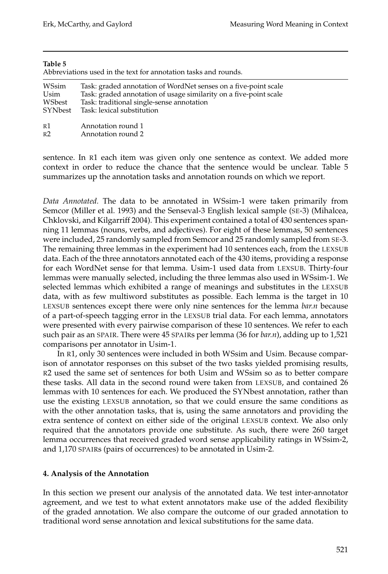Abbreviations used in the text for annotation tasks and rounds.

| WSsim          | Task: graded annotation of WordNet senses on a five-point scale   |
|----------------|-------------------------------------------------------------------|
| Usim           | Task: graded annotation of usage similarity on a five-point scale |
| WSbest         | Task: traditional single-sense annotation                         |
| SYNbest        | Task: lexical substitution                                        |
| R <sub>1</sub> | Annotation round 1                                                |
| R <sub>2</sub> | Annotation round 2                                                |

sentence. In R1 each item was given only one sentence as context. We added more context in order to reduce the chance that the sentence would be unclear. Table 5 summarizes up the annotation tasks and annotation rounds on which we report.

*Data Annotated.* The data to be annotated in WSsim-1 were taken primarily from Semcor (Miller et al. 1993) and the Senseval-3 English lexical sample (SE-3) (Mihalcea, Chklovski, and Kilgarriff 2004). This experiment contained a total of 430 sentences spanning 11 lemmas (nouns, verbs, and adjectives). For eight of these lemmas, 50 sentences were included, 25 randomly sampled from Semcor and 25 randomly sampled from SE-3. The remaining three lemmas in the experiment had 10 sentences each, from the LEXSUB data. Each of the three annotators annotated each of the 430 items, providing a response for each WordNet sense for that lemma. Usim-1 used data from LEXSUB. Thirty-four lemmas were manually selected, including the three lemmas also used in WSsim-1. We selected lemmas which exhibited a range of meanings and substitutes in the LEXSUB data, with as few multiword substitutes as possible. Each lemma is the target in 10 LEXSUB sentences except there were only nine sentences for the lemma *bar.n* because of a part-of-speech tagging error in the LEXSUB trial data. For each lemma, annotators were presented with every pairwise comparison of these 10 sentences. We refer to each such pair as an SPAIR. There were 45 SPAIRs per lemma (36 for *bar.n*), adding up to 1,521 comparisons per annotator in Usim-1.

In R1, only 30 sentences were included in both WSsim and Usim. Because comparison of annotator responses on this subset of the two tasks yielded promising results, R2 used the same set of sentences for both Usim and WSsim so as to better compare these tasks. All data in the second round were taken from LEXSUB, and contained 26 lemmas with 10 sentences for each. We produced the SYNbest annotation, rather than use the existing LEXSUB annotation, so that we could ensure the same conditions as with the other annotation tasks, that is, using the same annotators and providing the extra sentence of context on either side of the original LEXSUB context. We also only required that the annotators provide one substitute. As such, there were 260 target lemma occurrences that received graded word sense applicability ratings in WSsim-2, and 1,170 SPAIRs (pairs of occurrences) to be annotated in Usim-2.

### **4. Analysis of the Annotation**

In this section we present our analysis of the annotated data. We test inter-annotator agreement, and we test to what extent annotators make use of the added flexibility of the graded annotation. We also compare the outcome of our graded annotation to traditional word sense annotation and lexical substitutions for the same data.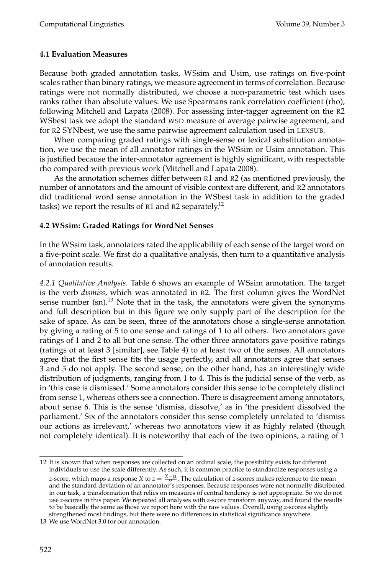## **4.1 Evaluation Measures**

Because both graded annotation tasks, WSsim and Usim, use ratings on five-point scales rather than binary ratings, we measure agreement in terms of correlation. Because ratings were not normally distributed, we choose a non-parametric test which uses ranks rather than absolute values: We use Spearmans rank correlation coefficient (rho), following Mitchell and Lapata (2008). For assessing inter-tagger agreement on the R2 WSbest task we adopt the standard WSD measure of average pairwise agreement, and for R2 SYNbest, we use the same pairwise agreement calculation used in LEXSUB.

When comparing graded ratings with single-sense or lexical substitution annotation, we use the mean of all annotator ratings in the WSsim or Usim annotation. This is justified because the inter-annotator agreement is highly significant, with respectable rho compared with previous work (Mitchell and Lapata 2008).

As the annotation schemes differ between R1 and R2 (as mentioned previously, the number of annotators and the amount of visible context are different, and R2 annotators did traditional word sense annotation in the WSbest task in addition to the graded tasks) we report the results of R1 and R2 separately.<sup>12</sup>

## **4.2 WSsim: Graded Ratings for WordNet Senses**

In the WSsim task, annotators rated the applicability of each sense of the target word on a five-point scale. We first do a qualitative analysis, then turn to a quantitative analysis of annotation results.

*4.2.1 Qualitative Analysis.* Table 6 shows an example of WSsim annotation. The target is the verb *dismiss*, which was annotated in R2. The first column gives the WordNet sense number (sn). $^{13}$  Note that in the task, the annotators were given the synonyms and full description but in this figure we only supply part of the description for the sake of space. As can be seen, three of the annotators chose a single-sense annotation by giving a rating of 5 to one sense and ratings of 1 to all others. Two annotators gave ratings of 1 and 2 to all but one sense. The other three annotators gave positive ratings (ratings of at least 3 [similar], see Table 4) to at least two of the senses. All annotators agree that the first sense fits the usage perfectly, and all annotators agree that senses 3 and 5 do not apply. The second sense, on the other hand, has an interestingly wide distribution of judgments, ranging from 1 to 4. This is the judicial sense of the verb, as in 'this case is dismissed.' Some annotators consider this sense to be completely distinct from sense 1, whereas others see a connection. There is disagreement among annotators, about sense 6. This is the sense 'dismiss, dissolve,' as in 'the president dissolved the parliament.' Six of the annotators consider this sense completely unrelated to 'dismiss our actions as irrelevant,' whereas two annotators view it as highly related (though not completely identical). It is noteworthy that each of the two opinions, a rating of 1

<sup>12</sup> It is known that when responses are collected on an ordinal scale, the possibility exists for different individuals to use the scale differently. As such, it is common practice to standardize responses using a *z*-score, which maps a response *X* to  $z = \frac{X - \mu}{\sigma}$ . The calculation of *z*-scores makes reference to the mean and the standard deviation of an annotator's responses. Because responses were not normally distributed in our task, a transformation that relies on measures of central tendency is not appropriate. So we do not use *z*-scores in this paper. We repeated all analyses with *z*-score transform anyway, and found the results to be basically the same as those we report here with the raw values. Overall, using *z*-scores slightly strengthened most findings, but there were no differences in statistical significance anywhere.

<sup>13</sup> We use WordNet 3.0 for our annotation.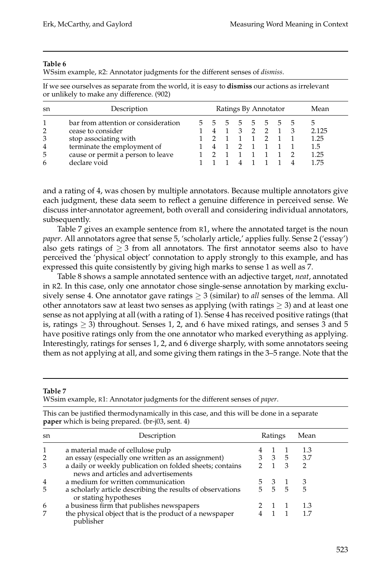WSsim example, R2: Annotator judgments for the different senses of *dismiss*.

| If we see ourselves as separate from the world, it is easy to dismiss our actions as irrelevant |  |  |
|-------------------------------------------------------------------------------------------------|--|--|
| or unlikely to make any difference. (902)                                                       |  |  |

| sn             | Description                         | Ratings By Annotator |  |  |              |                |  |                 |  | Mean  |  |
|----------------|-------------------------------------|----------------------|--|--|--------------|----------------|--|-----------------|--|-------|--|
|                | bar from attention or consideration |                      |  |  |              |                |  | 5 5 5 5 5 5 5 5 |  |       |  |
| 2              | cease to consider                   |                      |  |  | $\mathbf{3}$ | $\overline{2}$ |  |                 |  | 2.125 |  |
| 3              | stop associating with               |                      |  |  |              |                |  |                 |  | 1.25  |  |
| $\overline{4}$ | terminate the employment of         |                      |  |  |              |                |  |                 |  | 1.5   |  |
| 5              | cause or permit a person to leave   |                      |  |  |              |                |  |                 |  | 1.25  |  |
| 6              | declare void                        |                      |  |  |              |                |  |                 |  | 1.75  |  |

and a rating of 4, was chosen by multiple annotators. Because multiple annotators give each judgment, these data seem to reflect a genuine difference in perceived sense. We discuss inter-annotator agreement, both overall and considering individual annotators, subsequently.

Table 7 gives an example sentence from R1, where the annotated target is the noun *paper*. All annotators agree that sense 5, 'scholarly article,' applies fully. Sense 2 ('essay') also gets ratings of  $\geq$  3 from all annotators. The first annotator seems also to have perceived the 'physical object' connotation to apply strongly to this example, and has expressed this quite consistently by giving high marks to sense 1 as well as 7.

Table 8 shows a sample annotated sentence with an adjective target, *neat*, annotated in R2. In this case, only one annotator chose single-sense annotation by marking exclusively sense 4. One annotator gave ratings  $\geq$  3 (similar) to *all* senses of the lemma. All other annotators saw at least two senses as applying (with ratings  $\geq$  3) and at least one sense as not applying at all (with a rating of 1). Sense 4 has received positive ratings (that is, ratings  $\geq$  3) throughout. Senses 1, 2, and 6 have mixed ratings, and senses 3 and 5 have positive ratings only from the one annotator who marked everything as applying. Interestingly, ratings for senses 1, 2, and 6 diverge sharply, with some annotators seeing them as not applying at all, and some giving them ratings in the 3–5 range. Note that the

#### **Table 7**

WSsim example, R1: Annotator judgments for the different senses of *paper*.

|                | <u>repeated the community respectively</u>                                                       |    |                         |   |               |  |
|----------------|--------------------------------------------------------------------------------------------------|----|-------------------------|---|---------------|--|
| sn             | Description                                                                                      |    | Ratings                 |   | Mean          |  |
| 1              | a material made of cellulose pulp                                                                |    |                         |   | 1.3           |  |
| 2              | an essay (especially one written as an assignment)                                               | 3  | 3 5                     |   | 3.7           |  |
| 3              | a daily or weekly publication on folded sheets; contains<br>news and articles and advertisements |    | $\overline{1}$          | 3 | $\mathcal{L}$ |  |
| $\overline{4}$ | a medium for written communication                                                               | 5. | $\overline{\mathbf{3}}$ |   |               |  |
| 5              | a scholarly article describing the results of observations<br>or stating hypotheses              | 5. | $5\quad 5$              |   | 5             |  |
| 6              | a business firm that publishes newspapers                                                        |    |                         |   | 1.3           |  |
| 7              | the physical object that is the product of a newspaper<br>publisher                              |    |                         |   |               |  |

This can be justified thermodynamically in this case, and this will be done in a separate **paper** which is being prepared. (br-j03, sent. 4)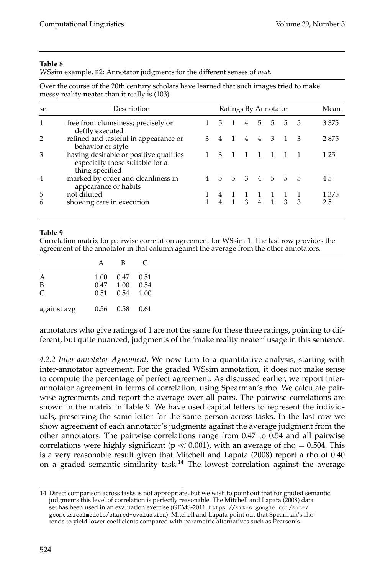WSsim example, R2: Annotator judgments for the different senses of *neat*.

Over the course of the 20th century scholars have learned that such images tried to make messy reality **neater** than it really is (103)

| sn             | Description                                                                                  | Ratings By Annotator |                |          |                |         |             |               | Mean |       |
|----------------|----------------------------------------------------------------------------------------------|----------------------|----------------|----------|----------------|---------|-------------|---------------|------|-------|
| 1              | free from clumsiness; precisely or<br>deftly executed                                        |                      | 5.             |          | 4              |         |             | 5 5 5 5       |      | 3.375 |
| $\overline{2}$ | refined and tasteful in appearance or<br>behavior or style                                   |                      | $\overline{4}$ | $\sim$ 1 | $\overline{4}$ |         | $4 \quad 3$ |               | - 3  | 2.875 |
| 3              | having desirable or positive qualities<br>especially those suitable for a<br>thing specified |                      | $1 \quad 3$    |          |                | 1 1 1 1 |             |               |      | 1.25  |
| $\overline{4}$ | marked by order and cleanliness in<br>appearance or habits                                   |                      |                |          |                |         |             | 5 5 3 4 5 5 5 |      | 4.5   |
| 5              | not diluted                                                                                  |                      |                |          |                |         |             |               |      | 1.375 |
| 6              | showing care in execution                                                                    |                      | $\overline{4}$ |          |                |         |             | 1 3 4 1 3 3   |      | 2.5   |

#### **Table 9**

Correlation matrix for pairwise correlation agreement for WSsim-1. The last row provides the agreement of the annotator in that column against the average from the other annotators.

|                               |              | A B C                                            |  |
|-------------------------------|--------------|--------------------------------------------------|--|
| А<br>B<br>C                   | 1.00<br>0.47 | $0.47$ 0.51<br>1.00 0.54<br>$0.51$ $0.54$ $1.00$ |  |
| against avg  0.56  0.58  0.61 |              |                                                  |  |

annotators who give ratings of 1 are not the same for these three ratings, pointing to different, but quite nuanced, judgments of the 'make reality neater' usage in this sentence.

*4.2.2 Inter-annotator Agreement.* We now turn to a quantitative analysis, starting with inter-annotator agreement. For the graded WSsim annotation, it does not make sense to compute the percentage of perfect agreement. As discussed earlier, we report interannotator agreement in terms of correlation, using Spearman's rho. We calculate pairwise agreements and report the average over all pairs. The pairwise correlations are shown in the matrix in Table 9. We have used capital letters to represent the individuals, preserving the same letter for the same person across tasks. In the last row we show agreement of each annotator's judgments against the average judgment from the other annotators. The pairwise correlations range from 0.47 to 0.54 and all pairwise correlations were highly significant ( $p \ll 0.001$ ), with an average of rho = 0.504. This is a very reasonable result given that Mitchell and Lapata (2008) report a rho of 0.40 on a graded semantic similarity task.<sup>14</sup> The lowest correlation against the average

<sup>14</sup> Direct comparison across tasks is not appropriate, but we wish to point out that for graded semantic judgments this level of correlation is perfectly reasonable. The Mitchell and Lapata (2008) data set has been used in an evaluation exercise (GEMS-2011, https://sites.google.com/site/ geometricalmodels/shared-evaluation). Mitchell and Lapata point out that Spearman's rho tends to yield lower coefficients compared with parametric alternatives such as Pearson's.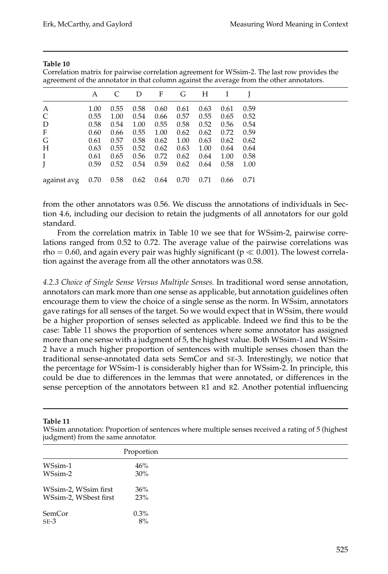ACD F GH I J A 1.00 0.55 0.58 0.60 0.61 0.63 0.61 0.59 C 0.55 1.00 0.54 0.66 0.57 0.55 0.65 0.52 D 0.58 0.54 1.00 0.55 0.58 0.52 0.56 0.54 F 0.60 0.66 0.55 1.00 0.62 0.62 0.72 0.59 G 0.61 0.57 0.58 0.62 1.00 0.63 0.62 0.62 H 0.63 0.55 0.52 0.62 0.63 1.00 0.64 0.64 I 0.61 0.65 0.56 0.72 0.62 0.64 1.00 0.58 J 0.59 0.52 0.54 0.59 0.62 0.64 0.58 1.00 against avg 0.70 0.58 0.62 0.64 0.70 0.71 0.66 0.71

Correlation matrix for pairwise correlation agreement for WSsim-2. The last row provides the agreement of the annotator in that column against the average from the other annotators.

from the other annotators was 0.56. We discuss the annotations of individuals in Section 4.6, including our decision to retain the judgments of all annotators for our gold standard.

From the correlation matrix in Table 10 we see that for WSsim-2, pairwise correlations ranged from 0.52 to 0.72. The average value of the pairwise correlations was  $rho = 0.60$ , and again every pair was highly significant ( $p \ll 0.001$ ). The lowest correlation against the average from all the other annotators was 0.58.

*4.2.3 Choice of Single Sense Versus Multiple Senses.* In traditional word sense annotation, annotators can mark more than one sense as applicable, but annotation guidelines often encourage them to view the choice of a single sense as the norm. In WSsim, annotators gave ratings for all senses of the target. So we would expect that in WSsim, there would be a higher proportion of senses selected as applicable. Indeed we find this to be the case: Table 11 shows the proportion of sentences where some annotator has assigned more than one sense with a judgment of 5, the highest value. Both WSsim-1 and WSsim-2 have a much higher proportion of sentences with multiple senses chosen than the traditional sense-annotated data sets SemCor and SE-3. Interestingly, we notice that the percentage for WSsim-1 is considerably higher than for WSsim-2. In principle, this could be due to differences in the lemmas that were annotated, or differences in the sense perception of the annotators between R1 and R2. Another potential influencing

#### **Table 11**

WSsim annotation: Proportion of sentences where multiple senses received a rating of 5 (highest judgment) from the same annotator.

| Proportion            |         |  |
|-----------------------|---------|--|
| WSsim-1               | 46%     |  |
| WSsim-2               | $30\%$  |  |
| WSsim-2, WSsim first  | 36%     |  |
| WSsim-2, WSbest first | 23%     |  |
| SemCor                | $0.3\%$ |  |
| $SE-3$                | 8%      |  |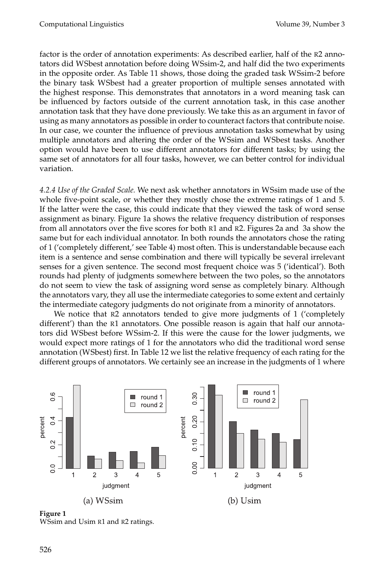factor is the order of annotation experiments: As described earlier, half of the R2 annotators did WSbest annotation before doing WSsim-2, and half did the two experiments in the opposite order. As Table 11 shows, those doing the graded task WSsim-2 before the binary task WSbest had a greater proportion of multiple senses annotated with the highest response. This demonstrates that annotators in a word meaning task can be influenced by factors outside of the current annotation task, in this case another annotation task that they have done previously. We take this as an argument in favor of using as many annotators as possible in order to counteract factors that contribute noise. In our case, we counter the influence of previous annotation tasks somewhat by using multiple annotators and altering the order of the WSsim and WSbest tasks. Another option would have been to use different annotators for different tasks; by using the same set of annotators for all four tasks, however, we can better control for individual variation.

*4.2.4 Use of the Graded Scale.* We next ask whether annotators in WSsim made use of the whole five-point scale, or whether they mostly chose the extreme ratings of 1 and 5. If the latter were the case, this could indicate that they viewed the task of word sense assignment as binary. Figure 1a shows the relative frequency distribution of responses from all annotators over the five scores for both R1 and R2. Figures 2a and 3a show the same but for each individual annotator. In both rounds the annotators chose the rating of 1 ('completely different,' see Table 4) most often. This is understandable because each item is a sentence and sense combination and there will typically be several irrelevant senses for a given sentence. The second most frequent choice was 5 ('identical'). Both rounds had plenty of judgments somewhere between the two poles, so the annotators do not seem to view the task of assigning word sense as completely binary. Although the annotators vary, they all use the intermediate categories to some extent and certainly the intermediate category judgments do not originate from a minority of annotators.

We notice that R2 annotators tended to give more judgments of 1 ('completely different') than the R1 annotators. One possible reason is again that half our annotators did WSbest before WSsim-2. If this were the cause for the lower judgments, we would expect more ratings of 1 for the annotators who did the traditional word sense annotation (WSbest) first. In Table 12 we list the relative frequency of each rating for the different groups of annotators. We certainly see an increase in the judgments of 1 where



**Figure 1** WSsim and Usim R1 and R2 ratings.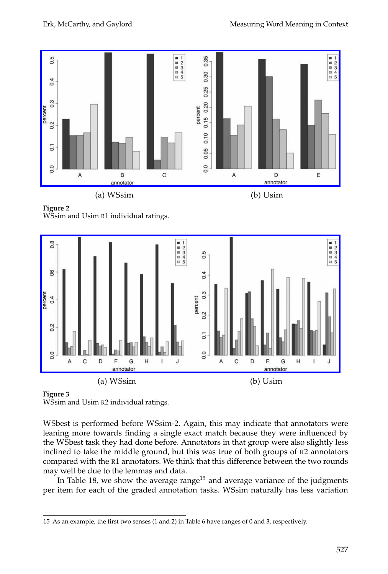

**Figure 2** WSsim and Usim [R1 individual ratings.](http://www.mitpressjournals.org/action/showImage?doi=10.1162/COLI_a_00142&iName=master.img-001.jpg&w=370&h=168)



**Figure 3** WSsim and Usim R2 individual ratings.

WSbest is performed before WSsim-2. Again, this may indicate that annotators were leaning more towards finding a single exact match because they were influenced by the WSbest task they had done before. Annotators in that group were also slightly less inclined to take the middle ground, but this was true of both groups of R2 annotators compared with the R1 annotators. We think that this difference between the two rounds may well be due to the lemmas and data.

In Table 18, we show the average range<sup>15</sup> and average variance of the judgments per item for each of the graded annotation tasks. WSsim naturally has less variation

<sup>15</sup> As an example, the first two senses (1 and 2) in Table 6 have ranges of 0 and 3, respectively.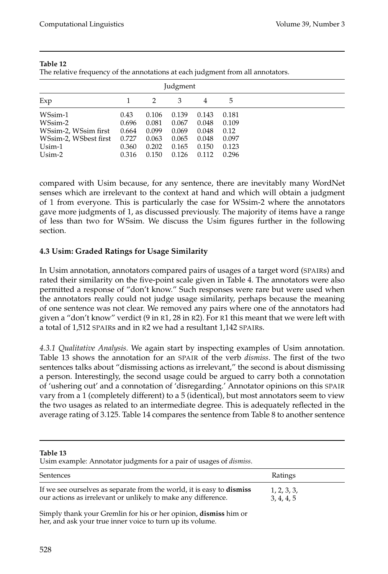| Judgment              |       |       |       |       |       |  |  |
|-----------------------|-------|-------|-------|-------|-------|--|--|
| Exp                   |       |       | 3     | 4     | 5     |  |  |
| WSsim-1               | 0.43  | 0.106 | 0.139 | 0.143 | 0.181 |  |  |
| WSsim-2               | 0.696 | 0.081 | 0.067 | 0.048 | 0.109 |  |  |
| WSsim-2, WSsim first  | 0.664 | 0.099 | 0.069 | 0.048 | 0.12  |  |  |
| WSsim-2, WSbest first | 0.727 | 0.063 | 0.065 | 0.048 | 0.097 |  |  |
| $Using-1$             | 0.360 | 0.202 | 0.165 | 0.150 | 0.123 |  |  |
| Using: 2              | 0.316 | 0.150 | 0.126 | 0.112 | 0.296 |  |  |

The relative frequency of the annotations at each judgment from all annotators.

compared with Usim because, for any sentence, there are inevitably many WordNet senses which are irrelevant to the context at hand and which will obtain a judgment of 1 from everyone. This is particularly the case for WSsim-2 where the annotators gave more judgments of 1, as discussed previously. The majority of items have a range of less than two for WSsim. We discuss the Usim figures further in the following section.

## **4.3 Usim: Graded Ratings for Usage Similarity**

In Usim annotation, annotators compared pairs of usages of a target word (SPAIRs) and rated their similarity on the five-point scale given in Table 4. The annotators were also permitted a response of "don't know." Such responses were rare but were used when the annotators really could not judge usage similarity, perhaps because the meaning of one sentence was not clear. We removed any pairs where one of the annotators had given a "don't know" verdict (9 in R1, 28 in R2). For R1 this meant that we were left with a total of 1,512 SPAIRs and in R2 we had a resultant 1,142 SPAIRs.

*4.3.1 Qualitative Analysis.* We again start by inspecting examples of Usim annotation. Table 13 shows the annotation for an SPAIR of the verb *dismiss*. The first of the two sentences talks about "dismissing actions as irrelevant," the second is about dismissing a person. Interestingly, the second usage could be argued to carry both a connotation of 'ushering out' and a connotation of 'disregarding.' Annotator opinions on this SPAIR vary from a 1 (completely different) to a 5 (identical), but most annotators seem to view the two usages as related to an intermediate degree. This is adequately reflected in the average rating of 3.125. Table 14 compares the sentence from Table 8 to another sentence

#### **Table 13**

Usim example: Annotator judgments for a pair of usages of *dismiss*.

| Sentences                                                                                                                                     | Ratings                   |  |
|-----------------------------------------------------------------------------------------------------------------------------------------------|---------------------------|--|
| If we see ourselves as separate from the world, it is easy to <b>dismiss</b><br>our actions as irrelevant or unlikely to make any difference. | 1, 2, 3, 3,<br>3, 4, 4, 5 |  |

Simply thank your Gremlin for his or her opinion, **dismiss** him or her, and ask your true inner voice to turn up its volume.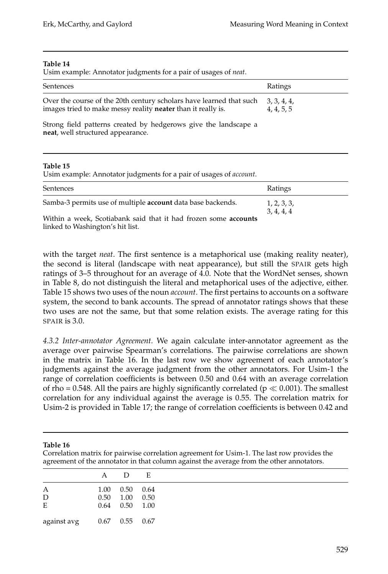Usim example: Annotator judgments for a pair of usages of *neat*.

| Sentences                                                                                                                           | Ratings                |
|-------------------------------------------------------------------------------------------------------------------------------------|------------------------|
| Over the course of the 20th century scholars have learned that such<br>images tried to make messy reality neater than it really is. | 3, 3, 4, 4,<br>4.4.5.5 |
| $O(\log n)$ . $O(1.1)$ is a constant of $\log n$ . The flat and the start of the flat of the state of                               |                        |

Strong field patterns created by hedgerows give the landscape a **neat**, well structured appearance.

#### **Table 15**

Usim example: Annotator judgments for a pair of usages of *account*.

| Sentences                                                              | Ratings     |
|------------------------------------------------------------------------|-------------|
| Samba-3 permits use of multiple account data base backends.            | 1, 2, 3, 3, |
| Within a week, Scotiabank said that it had frozen some <b>accounts</b> | 3, 4, 4, 4  |

linked to Washington's hit list.

with the target *neat*. The first sentence is a metaphorical use (making reality neater), the second is literal (landscape with neat appearance), but still the SPAIR gets high ratings of 3–5 throughout for an average of 4.0. Note that the WordNet senses, shown in Table 8, do not distinguish the literal and metaphorical uses of the adjective, either. Table 15 shows two uses of the noun *account*. The first pertains to accounts on a software system, the second to bank accounts. The spread of annotator ratings shows that these two uses are not the same, but that some relation exists. The average rating for this SPAIR is 3.0.

*4.3.2 Inter-annotator Agreement.* We again calculate inter-annotator agreement as the average over pairwise Spearman's correlations. The pairwise correlations are shown in the matrix in Table 16. In the last row we show agreement of each annotator's judgments against the average judgment from the other annotators. For Usim-1 the range of correlation coefficients is between 0.50 and 0.64 with an average correlation of rho = 0.548. All the pairs are highly significantly correlated ( $p \ll 0.001$ ). The smallest correlation for any individual against the average is 0.55. The correlation matrix for Usim-2 is provided in Table 17; the range of correlation coefficients is between 0.42 and

**Table 16**

Correlation matrix for pairwise correlation agreement for Usim-1. The last row provides the agreement of the annotator in that column against the average from the other annotators.

|                               |      | A D                          | $\overline{E}$ |
|-------------------------------|------|------------------------------|----------------|
| А                             | 1.00 | $0.50 \quad 0.64$            |                |
| D                             |      | $0.50 \quad 1.00 \quad 0.50$ |                |
| E                             |      | $0.64$ $0.50$ $1.00$         |                |
| against avg  0.67  0.55  0.67 |      |                              |                |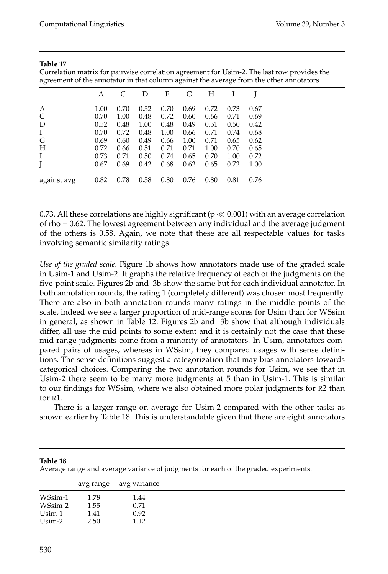Correlation matrix for pairwise correlation agreement for Usim-2. The last row provides the agreement of the annotator in that column against the average from the other annotators.

|             | А    | C    | D    | F    | G    | Н    | $\perp$ |      |
|-------------|------|------|------|------|------|------|---------|------|
| А           | 1.00 | 0.70 | 0.52 | 0.70 | 0.69 | 0.72 | 0.73    | 0.67 |
| C           | 0.70 | 1.00 | 0.48 | 0.72 | 0.60 | 0.66 | 0.71    | 0.69 |
| D           | 0.52 | 0.48 | 1.00 | 0.48 | 0.49 | 0.51 | 0.50    | 0.42 |
| F           | 0.70 | 0.72 | 0.48 | 1.00 | 0.66 | 0.71 | 0.74    | 0.68 |
| G           | 0.69 | 0.60 | 0.49 | 0.66 | 1.00 | 0.71 | 0.65    | 0.62 |
| H           | 0.72 | 0.66 | 0.51 | 0.71 | 0.71 | 1.00 | 0.70    | 0.65 |
| Ι.          | 0.73 | 0.71 | 0.50 | 0.74 | 0.65 | 0.70 | 1.00    | 0.72 |
| J           | 0.67 | 0.69 | 0.42 | 0.68 | 0.62 | 0.65 | 0.72    | 1.00 |
| against avg | 0.82 | 0.78 | 0.58 | 0.80 | 0.76 | 0.80 | 0.81    | 0.76 |

0.73. All these correlations are highly significant ( $p \ll 0.001$ ) with an average correlation of rho = 0.62. The lowest agreement between any individual and the average judgment of the others is 0.58. Again, we note that these are all respectable values for tasks involving semantic similarity ratings.

*Use of the graded scale.* Figure 1b shows how annotators made use of the graded scale in Usim-1 and Usim-2. It graphs the relative frequency of each of the judgments on the five-point scale. Figures 2b and 3b show the same but for each individual annotator. In both annotation rounds, the rating 1 (completely different) was chosen most frequently. There are also in both annotation rounds many ratings in the middle points of the scale, indeed we see a larger proportion of mid-range scores for Usim than for WSsim in general, as shown in Table 12. Figures 2b and 3b show that although individuals differ, all use the mid points to some extent and it is certainly not the case that these mid-range judgments come from a minority of annotators. In Usim, annotators compared pairs of usages, whereas in WSsim, they compared usages with sense definitions. The sense definitions suggest a categorization that may bias annotators towards categorical choices. Comparing the two annotation rounds for Usim, we see that in Usim-2 there seem to be many more judgments at 5 than in Usim-1. This is similar to our findings for WSsim, where we also obtained more polar judgments for R2 than for R1.

There is a larger range on average for Usim-2 compared with the other tasks as shown earlier by Table 18. This is understandable given that there are eight annotators

| Table 18<br>Average range and average variance of judgments for each of the graded experiments. |      |                        |  |  |  |  |  |  |
|-------------------------------------------------------------------------------------------------|------|------------------------|--|--|--|--|--|--|
|                                                                                                 |      | avg range avg variance |  |  |  |  |  |  |
| WSsim-1                                                                                         | 1.78 | 1.44                   |  |  |  |  |  |  |
| WSsim-2                                                                                         | 1.55 | 0.71                   |  |  |  |  |  |  |
| Usim-1                                                                                          | 1.41 | 0.92                   |  |  |  |  |  |  |
| $Usingian-2$                                                                                    | 2.50 | 1.12                   |  |  |  |  |  |  |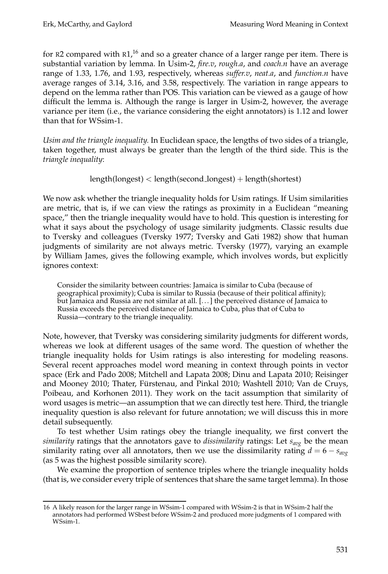for R2 compared with  $R1$ ,<sup>16</sup> and so a greater chance of a larger range per item. There is substantial variation by lemma. In Usim-2, *fire.v*, *rough.a*, and *coach.n* have an average range of 1.33, 1.76, and 1.93, respectively, whereas *suffer.v*, *neat.a*, and *function.n* have average ranges of 3.14, 3.16, and 3.58, respectively. The variation in range appears to depend on the lemma rather than POS. This variation can be viewed as a gauge of how difficult the lemma is. Although the range is larger in Usim-2, however, the average variance per item (i.e., the variance considering the eight annotators) is 1.12 and lower than that for WSsim-1.

*Usim and the triangle inequality.* In Euclidean space, the lengths of two sides of a triangle, taken together, must always be greater than the length of the third side. This is the *triangle inequality*:

length(longest) < length(second longest) + length(shortest)

We now ask whether the triangle inequality holds for Usim ratings. If Usim similarities are metric, that is, if we can view the ratings as proximity in a Euclidean "meaning space," then the triangle inequality would have to hold. This question is interesting for what it says about the psychology of usage similarity judgments. Classic results due to Tversky and colleagues (Tversky 1977; Tversky and Gati 1982) show that human judgments of similarity are not always metric. Tversky (1977), varying an example by William James, gives the following example, which involves words, but explicitly ignores context:

Consider the similarity between countries: Jamaica is similar to Cuba (because of geographical proximity); Cuba is similar to Russia (because of their political affinity); but Jamaica and Russia are not similar at all. [. . . ] the perceived distance of Jamaica to Russia exceeds the perceived distance of Jamaica to Cuba, plus that of Cuba to Russia—contrary to the triangle inequality.

Note, however, that Tversky was considering similarity judgments for different words, whereas we look at different usages of the same word. The question of whether the triangle inequality holds for Usim ratings is also interesting for modeling reasons. Several recent approaches model word meaning in context through points in vector space (Erk and Pado 2008; Mitchell and Lapata 2008; Dinu and Lapata 2010; Reisinger and Mooney 2010; Thater, Fürstenau, and Pinkal 2010; Washtell 2010; Van de Cruys, Poibeau, and Korhonen 2011). They work on the tacit assumption that similarity of word usages is metric—an assumption that we can directly test here. Third, the triangle inequality question is also relevant for future annotation; we will discuss this in more detail subsequently.

To test whether Usim ratings obey the triangle inequality, we first convert the *similarity* ratings that the annotators gave to *dissimilarity* ratings: Let *savg* be the mean similarity rating over all annotators, then we use the dissimilarity rating  $d = 6 - s_{avg}$ (as 5 was the highest possible similarity score).

We examine the proportion of sentence triples where the triangle inequality holds (that is, we consider every triple of sentences that share the same target lemma). In those

<sup>16</sup> A likely reason for the larger range in WSsim-1 compared with WSsim-2 is that in WSsim-2 half the annotators had performed WSbest before WSsim-2 and produced more judgments of 1 compared with WSsim-1.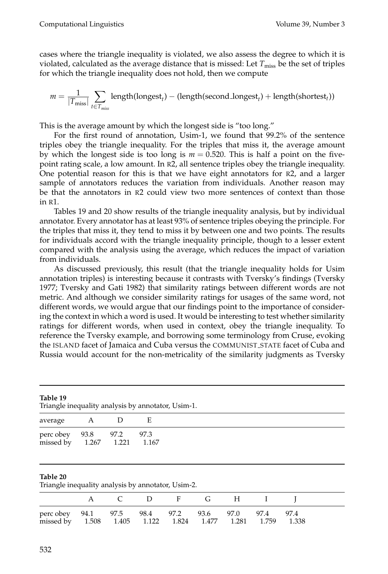cases where the triangle inequality is violated, we also assess the degree to which it is violated, calculated as the average distance that is missed: Let  $T_{\text{miss}}$  be the set of triples for which the triangle inequality does not hold, then we compute

$$
m = \frac{1}{|T_{\text{miss}}|} \sum_{t \in T_{\text{miss}}} \text{length}(\text{longest}_t) - (\text{length}(\text{second\_longest}_t) + \text{length}(\text{shortest}_t))
$$

This is the average amount by which the longest side is "too long."

For the first round of annotation, Usim-1, we found that 99.2% of the sentence triples obey the triangle inequality. For the triples that miss it, the average amount by which the longest side is too long is  $m = 0.520$ . This is half a point on the fivepoint rating scale, a low amount. In R2, all sentence triples obey the triangle inequality. One potential reason for this is that we have eight annotators for R2, and a larger sample of annotators reduces the variation from individuals. Another reason may be that the annotators in R2 could view two more sentences of context than those in R1.

Tables 19 and 20 show results of the triangle inequality analysis, but by individual annotator. Every annotator has at least 93% of sentence triples obeying the principle. For the triples that miss it, they tend to miss it by between one and two points. The results for individuals accord with the triangle inequality principle, though to a lesser extent compared with the analysis using the average, which reduces the impact of variation from individuals.

As discussed previously, this result (that the triangle inequality holds for Usim annotation triples) is interesting because it contrasts with Tversky's findings (Tversky 1977; Tversky and Gati 1982) that similarity ratings between different words are not metric. And although we consider similarity ratings for usages of the same word, not different words, we would argue that our findings point to the importance of considering the context in which a word is used. It would be interesting to test whether similarity ratings for different words, when used in context, obey the triangle inequality. To reference the Tversky example, and borrowing some terminology from Cruse, evoking the ISLAND facet of Jamaica and Cuba versus the COMMUNIST STATE facet of Cuba and Russia would account for the non-metricality of the similarity judgments as Tversky

| Table 19<br>Triangle inequality analysis by annotator, Usim-1. |      |                     |               |   |  |   |  |  |  |
|----------------------------------------------------------------|------|---------------------|---------------|---|--|---|--|--|--|
| average                                                        | A    | D                   | E             |   |  |   |  |  |  |
| perc obey<br>missed by                                         | 93.8 | 97.2<br>1.267 1.221 | 97.3<br>1.167 |   |  |   |  |  |  |
| Table 20<br>Triangle inequality analysis by annotator, Usim-2. |      |                     |               |   |  |   |  |  |  |
|                                                                | А    |                     | D             | F |  | Н |  |  |  |

|                                                                                                                |  |  |  | A C D F G H I I |  |
|----------------------------------------------------------------------------------------------------------------|--|--|--|-----------------|--|
| perc obey 94.1 97.5 98.4 97.2 93.6 97.0 97.4 97.4<br>missed by 1.508 1.405 1.122 1.824 1.477 1.281 1.759 1.338 |  |  |  |                 |  |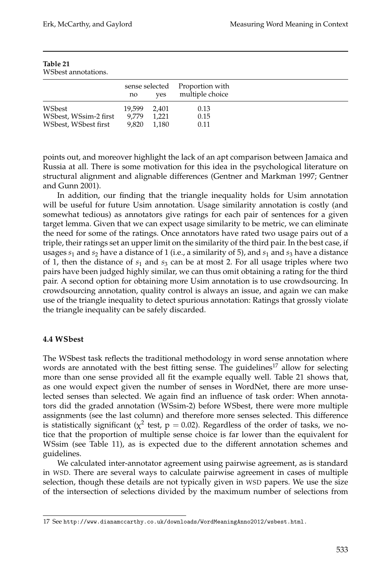| Table 21            |  |
|---------------------|--|
| WSbest annotations. |  |

|                       | sense selected<br>no | ves   | Proportion with<br>multiple choice |
|-----------------------|----------------------|-------|------------------------------------|
| WSbest                | 19.599               | 2.401 | 0.13                               |
| WSbest, WSsim-2 first | 9.779                | 1.221 | 0.15                               |
| WSbest, WSbest first  | 9.820                | 1.180 | 0.11                               |

points out, and moreover highlight the lack of an apt comparison between Jamaica and Russia at all. There is some motivation for this idea in the psychological literature on structural alignment and alignable differences (Gentner and Markman 1997; Gentner and Gunn 2001).

In addition, our finding that the triangle inequality holds for Usim annotation will be useful for future Usim annotation. Usage similarity annotation is costly (and somewhat tedious) as annotators give ratings for each pair of sentences for a given target lemma. Given that we can expect usage similarity to be metric, we can eliminate the need for some of the ratings. Once annotators have rated two usage pairs out of a triple, their ratings set an upper limit on the similarity of the third pair. In the best case, if usages  $s_1$  and  $s_2$  have a distance of 1 (i.e., a similarity of 5), and  $s_1$  and  $s_3$  have a distance of 1, then the distance of  $s_1$  and  $s_3$  can be at most 2. For all usage triples where two pairs have been judged highly similar, we can thus omit obtaining a rating for the third pair. A second option for obtaining more Usim annotation is to use crowdsourcing. In crowdsourcing annotation, quality control is always an issue, and again we can make use of the triangle inequality to detect spurious annotation: Ratings that grossly violate the triangle inequality can be safely discarded.

## **4.4 WSbest**

The WSbest task reflects the traditional methodology in word sense annotation where words are annotated with the best fitting sense. The guidelines<sup>17</sup> allow for selecting more than one sense provided all fit the example equally well. Table 21 shows that, as one would expect given the number of senses in WordNet, there are more unselected senses than selected. We again find an influence of task order: When annotators did the graded annotation (WSsim-2) before WSbest, there were more multiple assignments (see the last column) and therefore more senses selected. This difference is statistically significant ( $\chi^2$  test, p = 0.02). Regardless of the order of tasks, we notice that the proportion of multiple sense choice is far lower than the equivalent for WSsim (see Table 11), as is expected due to the different annotation schemes and guidelines.

We calculated inter-annotator agreement using pairwise agreement, as is standard in WSD. There are several ways to calculate pairwise agreement in cases of multiple selection, though these details are not typically given in WSD papers. We use the size of the intersection of selections divided by the maximum number of selections from

<sup>17</sup> See http://www.dianamccarthy.co.uk/downloads/WordMeaningAnno2012/wsbest.html.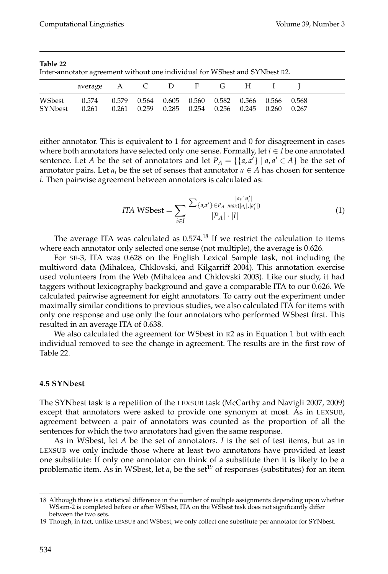| ×<br>۰,<br>- -<br>×<br>۰,<br>. . |
|----------------------------------|
|----------------------------------|

Inter-annotator agreement without one individual for WSbest and SYNbest R2.

|                   | average A C D F G H I |  |                                                                                                                    |  |  |
|-------------------|-----------------------|--|--------------------------------------------------------------------------------------------------------------------|--|--|
| WSbest<br>SYNbest | 0.574<br>0.261        |  | 0.579 0.564 0.605 0.560 0.582 0.566 0.566 0.568<br>$0.261$ $0.259$ $0.285$ $0.254$ $0.256$ $0.245$ $0.260$ $0.267$ |  |  |

either annotator. This is equivalent to 1 for agreement and 0 for disagreement in cases where both annotators have selected only one sense. Formally, let *i* ∈ *I* be one annotated sentence. Let *A* be the set of annotators and let  $P_A = \{\{a,a'\} \mid a,a' \in A\}$  be the set of annotator pairs. Let  $a_i$  be the set of senses that annotator  $a \in A$  has chosen for sentence *i*. Then pairwise agreement between annotators is calculated as:

$$
ITA WSbest = \sum_{i \in I} \frac{\sum_{\{a,a'\}\in P_A} \frac{|a_i \cap a'_i|}{max(|a_i|, |a'_i|)}}{|P_A| \cdot |I|}
$$
(1)

The average ITA was calculated as  $0.574<sup>18</sup>$  If we restrict the calculation to items where each annotator only selected one sense (not multiple), the average is 0.626.

For SE-3, ITA was 0.628 on the English Lexical Sample task, not including the multiword data (Mihalcea, Chklovski, and Kilgarriff 2004). This annotation exercise used volunteers from the Web (Mihalcea and Chklovski 2003). Like our study, it had taggers without lexicography background and gave a comparable ITA to our 0.626. We calculated pairwise agreement for eight annotators. To carry out the experiment under maximally similar conditions to previous studies, we also calculated ITA for items with only one response and use only the four annotators who performed WSbest first. This resulted in an average ITA of 0.638.

We also calculated the agreement for WSbest in R2 as in Equation 1 but with each individual removed to see the change in agreement. The results are in the first row of Table 22.

#### **4.5 SYNbest**

The SYNbest task is a repetition of the LEXSUB task (McCarthy and Navigli 2007, 2009) except that annotators were asked to provide one synonym at most. As in LEXSUB, agreement between a pair of annotators was counted as the proportion of all the sentences for which the two annotators had given the same response.

As in WSbest, let *A* be the set of annotators. *I* is the set of test items, but as in LEXSUB we only include those where at least two annotators have provided at least one substitute: If only one annotator can think of a substitute then it is likely to be a problematic item. As in WSbest, let  $a_i$  be the set<sup>19</sup> of responses (substitutes) for an item

<sup>18</sup> Although there is a statistical difference in the number of multiple assignments depending upon whether WSsim-2 is completed before or after WSbest, ITA on the WSbest task does not significantly differ between the two sets.

<sup>19</sup> Though, in fact, unlike LEXSUB and WSbest, we only collect one substitute per annotator for SYNbest.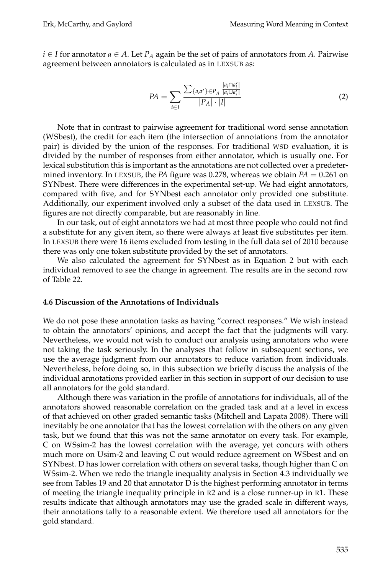*i* ∈ *I* for annotator *a* ∈ *A*. Let *P<sub>A</sub>* again be the set of pairs of annotators from *A*. Pairwise agreement between annotators is calculated as in LEXSUB as:

$$
PA = \sum_{i \in I} \frac{\sum_{\{a,a'\}\in P_A} \frac{|a_i \cap a'_i|}{|a_i \cup a'_i|}}{|P_A| \cdot |I|}
$$
(2)

Note that in contrast to pairwise agreement for traditional word sense annotation (WSbest), the credit for each item (the intersection of annotations from the annotator pair) is divided by the union of the responses. For traditional WSD evaluation, it is divided by the number of responses from either annotator, which is usually one. For lexical substitution this is important as the annotations are not collected over a predetermined inventory. In LEXSUB, the *PA* figure was 0.278, whereas we obtain  $PA = 0.261$  on SYNbest. There were differences in the experimental set-up. We had eight annotators, compared with five, and for SYNbest each annotator only provided one substitute. Additionally, our experiment involved only a subset of the data used in LEXSUB. The figures are not directly comparable, but are reasonably in line.

In our task, out of eight annotators we had at most three people who could not find a substitute for any given item, so there were always at least five substitutes per item. In LEXSUB there were 16 items excluded from testing in the full data set of 2010 because there was only one token substitute provided by the set of annotators.

We also calculated the agreement for SYNbest as in Equation 2 but with each individual removed to see the change in agreement. The results are in the second row of Table 22.

#### **4.6 Discussion of the Annotations of Individuals**

We do not pose these annotation tasks as having "correct responses." We wish instead to obtain the annotators' opinions, and accept the fact that the judgments will vary. Nevertheless, we would not wish to conduct our analysis using annotators who were not taking the task seriously. In the analyses that follow in subsequent sections, we use the average judgment from our annotators to reduce variation from individuals. Nevertheless, before doing so, in this subsection we briefly discuss the analysis of the individual annotations provided earlier in this section in support of our decision to use all annotators for the gold standard.

Although there was variation in the profile of annotations for individuals, all of the annotators showed reasonable correlation on the graded task and at a level in excess of that achieved on other graded semantic tasks (Mitchell and Lapata 2008). There will inevitably be one annotator that has the lowest correlation with the others on any given task, but we found that this was not the same annotator on every task. For example, C on WSsim-2 has the lowest correlation with the average, yet concurs with others much more on Usim-2 and leaving C out would reduce agreement on WSbest and on SYNbest. D has lower correlation with others on several tasks, though higher than C on WSsim-2. When we redo the triangle inequality analysis in Section 4.3 individually we see from Tables 19 and 20 that annotator D is the highest performing annotator in terms of meeting the triangle inequality principle in R2 and is a close runner-up in R1. These results indicate that although annotators may use the graded scale in different ways, their annotations tally to a reasonable extent. We therefore used all annotators for the gold standard.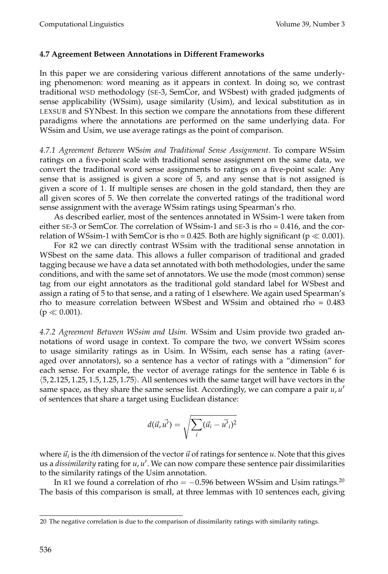## **4.7 Agreement Between Annotations in Different Frameworks**

In this paper we are considering various different annotations of the same underlying phenomenon: word meaning as it appears in context. In doing so, we contrast traditional WSD methodology (SE-3, SemCor, and WSbest) with graded judgments of sense applicability (WSsim), usage similarity (Usim), and lexical substitution as in LEXSUB and SYNbest. In this section we compare the annotations from these different paradigms where the annotations are performed on the same underlying data. For WSsim and Usim, we use average ratings as the point of comparison.

*4.7.1 Agreement Between* WS*sim and Traditional Sense Assignment.* To compare WSsim ratings on a five-point scale with traditional sense assignment on the same data, we convert the traditional word sense assignments to ratings on a five-point scale: Any sense that is assigned is given a score of 5, and any sense that is not assigned is given a score of 1. If multiple senses are chosen in the gold standard, then they are all given scores of 5. We then correlate the converted ratings of the traditional word sense assignment with the average WSsim ratings using Spearman's rho.

As described earlier, most of the sentences annotated in WSsim-1 were taken from either SE-3 or SemCor. The correlation of WSsim-1 and SE-3 is rho = 0.416, and the correlation of WSsim-1 with SemCor is rho = 0.425. Both are highly significant ( $p \ll 0.001$ ).

For R2 we can directly contrast WSsim with the traditional sense annotation in WSbest on the same data. This allows a fuller comparison of traditional and graded tagging because we have a data set annotated with both methodologies, under the same conditions, and with the same set of annotators. We use the mode (most common) sense tag from our eight annotators as the traditional gold standard label for WSbest and assign a rating of 5 to that sense, and a rating of 1 elsewhere. We again used Spearman's rho to measure correlation between WSbest and WSsim and obtained rho = 0.483  $(p \ll 0.001)$ .

*4.7.2 Agreement Between WSsim and Usim.* WSsim and Usim provide two graded annotations of word usage in context. To compare the two, we convert WSsim scores to usage similarity ratings as in Usim. In WSsim, each sense has a rating (averaged over annotators), so a sentence has a vector of ratings with a "dimension" for each sense. For example, the vector of average ratings for the sentence in Table 6 is  $(5, 2.125, 1.25, 1.5, 1.25, 1.75)$ . All sentences with the same target will have vectors in the same space, as they share the same sense list. Accordingly, we can compare a pair *u*, *u* of sentences that share a target using Euclidean distance:

$$
d(\vec{u},\vec{u'}) = \sqrt{\sum_i (\vec{u}_i - \vec{u'}_i)^2}
$$

where  $\vec{u}_i$  is the *i*th dimension of the vector  $\vec{u}$  of ratings for sentence  $u$ . Note that this gives us a *dissimilarity* rating for *u*, *u* . We can now compare these sentence pair dissimilarities to the similarity ratings of the Usim annotation.

In R1 we found a correlation of rho =  $-0.596$  between WSsim and Usim ratings.<sup>20</sup> The basis of this comparison is small, at three lemmas with 10 sentences each, giving

<sup>20</sup> The negative correlation is due to the comparison of dissimilarity ratings with similarity ratings.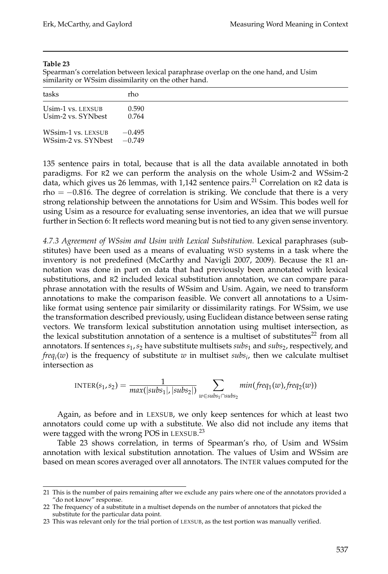Spearman's correlation between lexical paraphrase overlap on the one hand, and Usim similarity or WSsim dissimilarity on the other hand.

| tasks                                              | rho            |
|----------------------------------------------------|----------------|
| Usim-1 vs. LEXSUB<br>Usim-2 vs. SYNbest            | 0.590<br>0.764 |
| WSsim-1 vs. LEXSUB<br>WSsim-2 vs. SYNbest $-0.749$ | $-0.495$       |

135 sentence pairs in total, because that is all the data available annotated in both paradigms. For R2 we can perform the analysis on the whole Usim-2 and WSsim-2 data, which gives us 26 lemmas, with  $1,142$  sentence pairs.<sup>21</sup> Correlation on R2 data is rho =  $-0.816$ . The degree of correlation is striking. We conclude that there is a very strong relationship between the annotations for Usim and WSsim. This bodes well for using Usim as a resource for evaluating sense inventories, an idea that we will pursue further in Section 6: It reflects word meaning but is not tied to any given sense inventory.

*4.7.3 Agreement of WSsim and Usim with Lexical Substitution.* Lexical paraphrases (substitutes) have been used as a means of evaluating WSD systems in a task where the inventory is not predefined (McCarthy and Navigli 2007, 2009). Because the R1 annotation was done in part on data that had previously been annotated with lexical substitutions, and R2 included lexical substitution annotation, we can compare paraphrase annotation with the results of WSsim and Usim. Again, we need to transform annotations to make the comparison feasible. We convert all annotations to a Usimlike format using sentence pair similarity or dissimilarity ratings. For WSsim, we use the transformation described previously, using Euclidean distance between sense rating vectors. We transform lexical substitution annotation using multiset intersection, as the lexical substitution annotation of a sentence is a multiset of substitutes $^{22}$  from all annotators. If sentences  $s_1$ ,  $s_2$  have substitute multisets  $subs_1$  and  $subs_2$ , respectively, and *freq<sub>i</sub>*(*w*) is the frequency of substitute *w* in multiset *subs<sub>i</sub>*, then we calculate multiset intersection as

$$
INTER(s1, s2) = \frac{1}{max(|subs1|, |subs2|)} \sum_{w \in subs1 \cap subs2} min(freq1(w), freq2(w))
$$

Again, as before and in LEXSUB, we only keep sentences for which at least two annotators could come up with a substitute. We also did not include any items that were tagged with the wrong POS in LEXSUB.<sup>23</sup>

Table 23 shows correlation, in terms of Spearman's rho, of Usim and WSsim annotation with lexical substitution annotation. The values of Usim and WSsim are based on mean scores averaged over all annotators. The INTER values computed for the

<sup>21</sup> This is the number of pairs remaining after we exclude any pairs where one of the annotators provided a "do not know" response.

<sup>22</sup> The frequency of a substitute in a multiset depends on the number of annotators that picked the substitute for the particular data point.

<sup>23</sup> This was relevant only for the trial portion of LEXSUB, as the test portion was manually verified.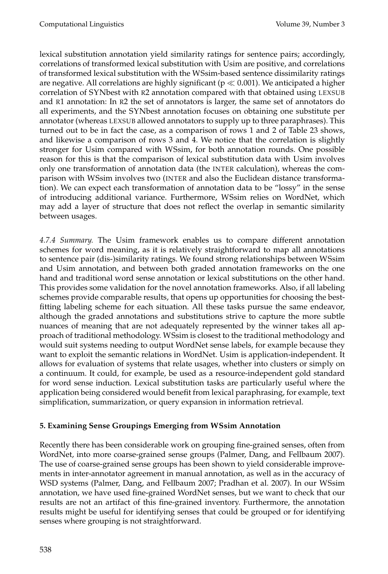lexical substitution annotation yield similarity ratings for sentence pairs; accordingly, correlations of transformed lexical substitution with Usim are positive, and correlations of transformed lexical substitution with the WSsim-based sentence dissimilarity ratings are negative. All correlations are highly significant ( $p \ll 0.001$ ). We anticipated a higher correlation of SYNbest with R2 annotation compared with that obtained using LEXSUB and R1 annotation: In R2 the set of annotators is larger, the same set of annotators do all experiments, and the SYNbest annotation focuses on obtaining one substitute per annotator (whereas LEXSUB allowed annotators to supply up to three paraphrases). This turned out to be in fact the case, as a comparison of rows 1 and 2 of Table 23 shows, and likewise a comparison of rows 3 and 4. We notice that the correlation is slightly stronger for Usim compared with WSsim, for both annotation rounds. One possible reason for this is that the comparison of lexical substitution data with Usim involves only one transformation of annotation data (the INTER calculation), whereas the comparison with WSsim involves two (INTER and also the Euclidean distance transformation). We can expect each transformation of annotation data to be "lossy" in the sense of introducing additional variance. Furthermore, WSsim relies on WordNet, which may add a layer of structure that does not reflect the overlap in semantic similarity between usages.

*4.7.4 Summary.* The Usim framework enables us to compare different annotation schemes for word meaning, as it is relatively straightforward to map all annotations to sentence pair (dis-)similarity ratings. We found strong relationships between WSsim and Usim annotation, and between both graded annotation frameworks on the one hand and traditional word sense annotation or lexical substitutions on the other hand. This provides some validation for the novel annotation frameworks. Also, if all labeling schemes provide comparable results, that opens up opportunities for choosing the bestfitting labeling scheme for each situation. All these tasks pursue the same endeavor, although the graded annotations and substitutions strive to capture the more subtle nuances of meaning that are not adequately represented by the winner takes all approach of traditional methodology. WSsim is closest to the traditional methodology and would suit systems needing to output WordNet sense labels, for example because they want to exploit the semantic relations in WordNet. Usim is application-independent. It allows for evaluation of systems that relate usages, whether into clusters or simply on a continuum. It could, for example, be used as a resource-independent gold standard for word sense induction. Lexical substitution tasks are particularly useful where the application being considered would benefit from lexical paraphrasing, for example, text simplification, summarization, or query expansion in information retrieval.

## **5. Examining Sense Groupings Emerging from WSsim Annotation**

Recently there has been considerable work on grouping fine-grained senses, often from WordNet, into more coarse-grained sense groups (Palmer, Dang, and Fellbaum 2007). The use of coarse-grained sense groups has been shown to yield considerable improvements in inter-annotator agreement in manual annotation, as well as in the accuracy of WSD systems (Palmer, Dang, and Fellbaum 2007; Pradhan et al. 2007). In our WSsim annotation, we have used fine-grained WordNet senses, but we want to check that our results are not an artifact of this fine-grained inventory. Furthermore, the annotation results might be useful for identifying senses that could be grouped or for identifying senses where grouping is not straightforward.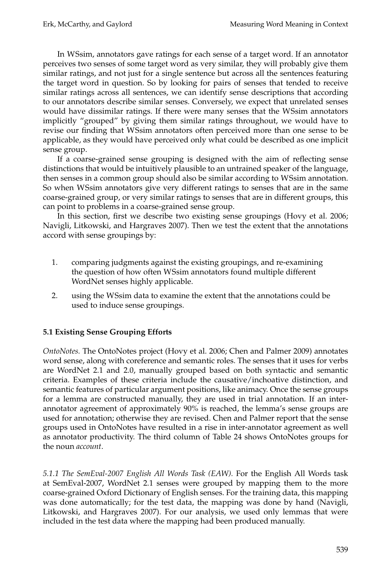In WSsim, annotators gave ratings for each sense of a target word. If an annotator perceives two senses of some target word as very similar, they will probably give them similar ratings, and not just for a single sentence but across all the sentences featuring the target word in question. So by looking for pairs of senses that tended to receive similar ratings across all sentences, we can identify sense descriptions that according to our annotators describe similar senses. Conversely, we expect that unrelated senses would have dissimilar ratings. If there were many senses that the WSsim annotators implicitly "grouped" by giving them similar ratings throughout, we would have to revise our finding that WSsim annotators often perceived more than one sense to be applicable, as they would have perceived only what could be described as one implicit sense group.

If a coarse-grained sense grouping is designed with the aim of reflecting sense distinctions that would be intuitively plausible to an untrained speaker of the language, then senses in a common group should also be similar according to WSsim annotation. So when WSsim annotators give very different ratings to senses that are in the same coarse-grained group, or very similar ratings to senses that are in different groups, this can point to problems in a coarse-grained sense group.

In this section, first we describe two existing sense groupings (Hovy et al. 2006; Navigli, Litkowski, and Hargraves 2007). Then we test the extent that the annotations accord with sense groupings by:

- 1. comparing judgments against the existing groupings, and re-examining the question of how often WSsim annotators found multiple different WordNet senses highly applicable.
- 2. using the WSsim data to examine the extent that the annotations could be used to induce sense groupings.

## **5.1 Existing Sense Grouping Efforts**

*OntoNotes.* The OntoNotes project (Hovy et al. 2006; Chen and Palmer 2009) annotates word sense, along with coreference and semantic roles. The senses that it uses for verbs are WordNet 2.1 and 2.0, manually grouped based on both syntactic and semantic criteria. Examples of these criteria include the causative/inchoative distinction, and semantic features of particular argument positions, like animacy. Once the sense groups for a lemma are constructed manually, they are used in trial annotation. If an interannotator agreement of approximately 90% is reached, the lemma's sense groups are used for annotation; otherwise they are revised. Chen and Palmer report that the sense groups used in OntoNotes have resulted in a rise in inter-annotator agreement as well as annotator productivity. The third column of Table 24 shows OntoNotes groups for the noun *account*.

*5.1.1 The SemEval-2007 English All Words Task (EAW).* For the English All Words task at SemEval-2007, WordNet 2.1 senses were grouped by mapping them to the more coarse-grained Oxford Dictionary of English senses. For the training data, this mapping was done automatically; for the test data, the mapping was done by hand (Navigli, Litkowski, and Hargraves 2007). For our analysis, we used only lemmas that were included in the test data where the mapping had been produced manually.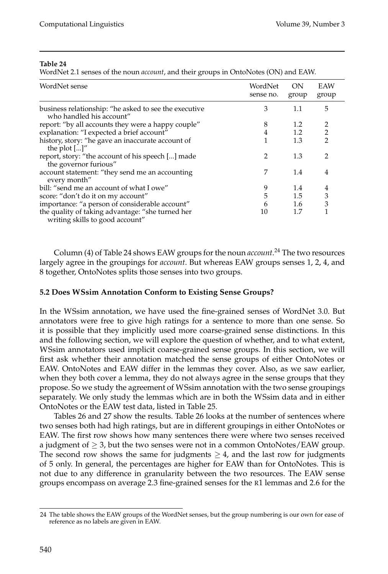WordNet 2.1 senses of the noun *account*, and their groups in OntoNotes (ON) and EAW.

| WordNet sense                                                                       | WordNet<br>sense no. | ON<br>group | EAW<br>group   |
|-------------------------------------------------------------------------------------|----------------------|-------------|----------------|
| business relationship: "he asked to see the executive<br>who handled his account"   | З                    | 1.1         | 5              |
| report: "by all accounts they were a happy couple"                                  | 8                    | 1.2         | 2              |
| explanation: "I expected a brief account"                                           | 4                    | 1.2         | $\overline{2}$ |
| history, story: "he gave an inaccurate account of<br>the plot $[]''$                |                      | 1.3         | $\mathcal{P}$  |
| report, story: "the account of his speech [] made<br>the governor furious"          | $\mathcal{L}$        | 1.3         | 2              |
| account statement: "they send me an accounting<br>every month"                      | 7                    | 1.4         | 4              |
| bill: "send me an account of what I owe"                                            | 9                    | 1.4         | 4              |
| score: "don't do it on my account"                                                  | 5                    | 1.5         | 3              |
| importance: "a person of considerable account"                                      | 6                    | 1.6         | 3              |
| the quality of taking advantage: "she turned her<br>writing skills to good account" | 10                   | 1.7         | 1              |

Column (4) of Table 24 shows EAW groups for the noun *account*. <sup>24</sup> The two resources largely agree in the groupings for *account*. But whereas EAW groups senses 1, 2, 4, and 8 together, OntoNotes splits those senses into two groups.

### **5.2 Does WSsim Annotation Conform to Existing Sense Groups?**

In the WSsim annotation, we have used the fine-grained senses of WordNet 3.0. But annotators were free to give high ratings for a sentence to more than one sense. So it is possible that they implicitly used more coarse-grained sense distinctions. In this and the following section, we will explore the question of whether, and to what extent, WSsim annotators used implicit coarse-grained sense groups. In this section, we will first ask whether their annotation matched the sense groups of either OntoNotes or EAW. OntoNotes and EAW differ in the lemmas they cover. Also, as we saw earlier, when they both cover a lemma, they do not always agree in the sense groups that they propose. So we study the agreement of WSsim annotation with the two sense groupings separately. We only study the lemmas which are in both the WSsim data and in either OntoNotes or the EAW test data, listed in Table 25.

Tables 26 and 27 show the results. Table 26 looks at the number of sentences where two senses both had high ratings, but are in different groupings in either OntoNotes or EAW. The first row shows how many sentences there were where two senses received a judgment of  $\geq 3$ , but the two senses were not in a common OntoNotes/EAW group. The second row shows the same for judgments  $\geq 4$ , and the last row for judgments of 5 only. In general, the percentages are higher for EAW than for OntoNotes. This is not due to any difference in granularity between the two resources. The EAW sense groups encompass on average 2.3 fine-grained senses for the R1 lemmas and 2.6 for the

<sup>24</sup> The table shows the EAW groups of the WordNet senses, but the group numbering is our own for ease of reference as no labels are given in EAW.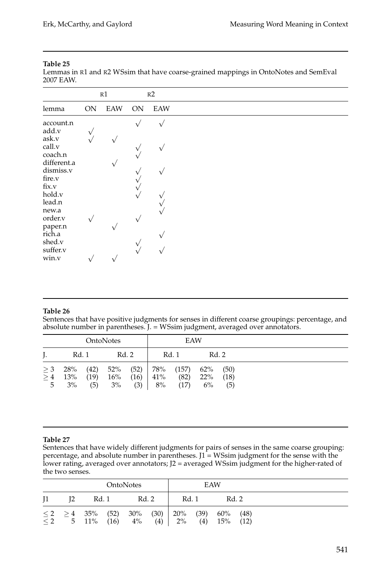Lemmas in R1 and R2 WSsim that have coarse-grained mappings in OntoNotes and SemEval 2007 EAW.

|                                    |                            | R1  |               | R2  |
|------------------------------------|----------------------------|-----|---------------|-----|
| lemma                              | $\mathop{\rm ON}\nolimits$ | EAW | $\mathbf{ON}$ | EAW |
| account.n<br>add.v<br>ask.v        |                            |     |               |     |
| call.v<br>coach.n                  |                            |     |               |     |
| different.a<br>dismiss.v<br>fire.v |                            |     |               |     |
| fix.v<br>hold.v<br>lead.n          |                            |     |               |     |
| new.a<br>order.v                   |                            |     |               |     |
| paper.n<br>rich.a<br>shed.v        |                            |     |               |     |
| suffer.v<br>win.v                  |                            |     |               |     |

#### **Table 26**

Sentences that have positive judgments for senses in different coarse groupings: percentage, and absolute number in parentheses. J. = WSsim judgment, averaged over annotators.

|                           |                  |                     | OntoNotes              |                     |                  | EAW                   |                  |                     |  |  |  |
|---------------------------|------------------|---------------------|------------------------|---------------------|------------------|-----------------------|------------------|---------------------|--|--|--|
| J.                        | Rd. 1            |                     | Rd. 2                  |                     |                  | Rd. 1                 | Rd. 2            |                     |  |  |  |
| $\geq$ 3<br>$\geq 4$<br>5 | 28%<br>13%<br>3% | (42)<br>(19)<br>(5) | $52\%$<br>$16\%$<br>3% | (52)<br>(16)<br>(3) | 78%<br>41%<br>8% | (157)<br>(82)<br>(17) | 62%<br>22%<br>6% | (50)<br>(18)<br>(5) |  |  |  |

#### **Table 27**

Sentences that have widely different judgments for pairs of senses in the same coarse grouping: percentage, and absolute number in parentheses. J $1$  = WSsim judgment for the sense with the lower rating, averaged over annotators; J2 = averaged WSsim judgment for the higher-rated of the two senses.

|          |    |                                 |              | OntoNotes       |             |                 |             | <b>EAW</b>       |              |  |  |  |
|----------|----|---------------------------------|--------------|-----------------|-------------|-----------------|-------------|------------------|--------------|--|--|--|
| J1       | Ī2 | Rd. 1                           |              | Rd. 2           |             | Rd. 1           |             | Rd. 2            |              |  |  |  |
| $\leq$ 2 |    | $\leq 2 \geq 4$ 35%<br>5 $11\%$ | (52)<br>(16) | $30\%$<br>$4\%$ | (30)<br>(4) | $20\%$<br>$2\%$ | (39)<br>(4) | $60\%$<br>$15\%$ | (48)<br>(12) |  |  |  |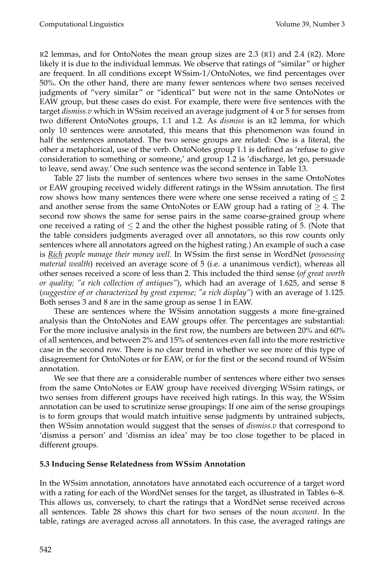$R2$  lemmas, and for OntoNotes the mean group sizes are 2.3 ( $R1$ ) and 2.4 ( $R2$ ). More likely it is due to the individual lemmas. We observe that ratings of "similar" or higher are frequent. In all conditions except WSsim-1/OntoNotes, we find percentages over 50%. On the other hand, there are many fewer sentences where two senses received judgments of "very similar" or "identical" but were not in the same OntoNotes or EAW group, but these cases do exist. For example, there were five sentences with the target *dismiss.v* which in WSsim received an average judgment of 4 or 5 for senses from two different OntoNotes groups, 1.1 and 1.2. As *dismiss* is an R2 lemma, for which only 10 sentences were annotated, this means that this phenomenon was found in half the sentences annotated. The two sense groups are related: One is a literal, the other a metaphorical, use of the verb. OntoNotes group 1.1 is defined as 'refuse to give consideration to something or someone,' and group 1.2 is 'discharge, let go, persuade to leave, send away.' One such sentence was the second sentence in Table 13.

Table 27 lists the number of sentences where two senses in the same OntoNotes or EAW grouping received widely different ratings in the WSsim annotation. The first row shows how many sentences there were where one sense received a rating of  $\leq 2$ and another sense from the same OntoNotes or EAW group had a rating of  $\geq$  4. The second row shows the same for sense pairs in the same coarse-grained group where one received a rating of  $\leq 2$  and the other the highest possible rating of 5. (Note that the table considers judgments averaged over all annotators, so this row counts only sentences where all annotators agreed on the highest rating.) An example of such a case is *Rich people manage their money well*. In WSsim the first sense in WordNet (*possessing material wealth*) received an average score of 5 (i.e. a unanimous verdict), whereas all other senses received a score of less than 2. This included the third sense (*of great worth or quality; "a rich collection of antiques"*), which had an average of 1.625, and sense 8 (*suggestive of or characterized by great expense; "a rich display"*) with an average of 1.125. Both senses 3 and 8 are in the same group as sense 1 in EAW.

These are sentences where the WSsim annotation suggests a more fine-grained analysis than the OntoNotes and EAW groups offer. The percentages are substantial: For the more inclusive analysis in the first row, the numbers are between 20% and 60% of all sentences, and between 2% and 15% of sentences even fall into the more restrictive case in the second row. There is no clear trend in whether we see more of this type of disagreement for OntoNotes or for EAW, or for the first or the second round of WSsim annotation.

We see that there are a considerable number of sentences where either two senses from the same OntoNotes or EAW group have received diverging WSsim ratings, or two senses from different groups have received high ratings. In this way, the WSsim annotation can be used to scrutinize sense groupings: If one aim of the sense groupings is to form groups that would match intuitive sense judgments by untrained subjects, then WSsim annotation would suggest that the senses of *dismiss.v* that correspond to 'dismiss a person' and 'dismiss an idea' may be too close together to be placed in different groups.

## **5.3 Inducing Sense Relatedness from WSsim Annotation**

In the WSsim annotation, annotators have annotated each occurrence of a target word with a rating for each of the WordNet senses for the target, as illustrated in Tables 6–8. This allows us, conversely, to chart the ratings that a WordNet sense received across all sentences. Table 28 shows this chart for two senses of the noun *account*. In the table, ratings are averaged across all annotators. In this case, the averaged ratings are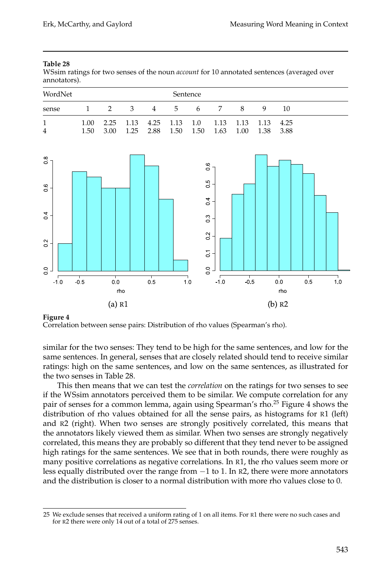#### WordNet Sentence sense 1 2 3 4 5 6 7 8 9 10 1 1.00 2.25 1.13 4.25 1.13 1.0 1.13 1.13 1.13 4.25 4 1.50 3.00 1.25 2.88 1.50 1.50 1.63 1.00 1.38 3.88  $\begin{array}{c} 8 \\ 0 \end{array}$  $0.6$  $0.5$  $\frac{6}{1}$  $0.4$  $0<sub>4</sub>$  $\degree$  $0.2$  $0.2$  $\overline{0}$ .  $\overline{0}$  $\overline{0}$  $0.5$  $10$  $10$  $-0.5$  $0.5$  $1.0$  $10$  $0.5$  $0.0$  $0.0$ rho rho  $(b)$  R2  $(a)$  R1

#### **Table 28**

WSsim ratings for two senses of the noun *account* for 10 annotated sentences (averaged over annotators).

#### **Figure 4**

Correlation between sense pairs: Distribution of rho values (Spearman's rho).

similar for the two senses: They tend to be high for the same sentences, and low for the same sentences. In general, senses that are closely related should tend to receive similar ratings: high on the same sentences, and low on the same sentences, as illustrated for the two senses in Table 28.

This then means that we can test the *correlation* on the ratings for two senses to see if the WSsim annotators perceived them to be similar. We compute correlation for any pair of senses for a common lemma, again using Spearman's rho.<sup>25</sup> Figure 4 shows the distribution of rho values obtained for all the sense pairs, as histograms for R1 (left) and R2 (right). When two senses are strongly positively correlated, this means that the annotators likely viewed them as similar. When two senses are strongly negatively correlated, this means they are probably so different that they tend never to be assigned high ratings for the same sentences. We see that in both rounds, there were roughly as many positive correlations as negative correlations. In R1, the rho values seem more or less equally distributed over the range from −1 to 1. In R2, there were more annotators and the distribution is closer to a normal distribution with more rho values close to 0.

<sup>25</sup> We exclude senses that received a uniform rating of 1 on all items. For R1 there were no such cases and for R2 there were only 14 out of a total of 275 senses.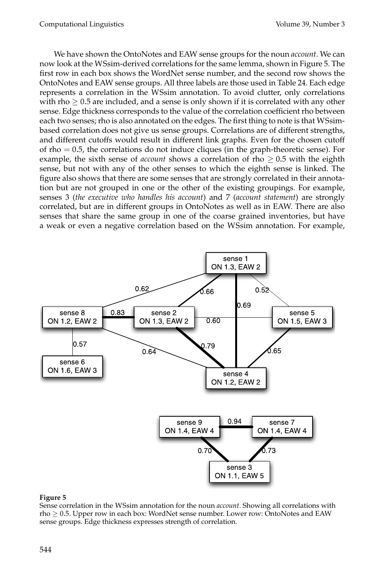We have shown the OntoNotes and EAW sense groups for the noun *account*. We can now look at the WSsim-derived correlations for the same lemma, shown in Figure 5. The first row in each box shows the WordNet sense number, and the second row shows the OntoNotes and EAW sense groups. All three labels are those used in Table 24. Each edge represents a correlation in the WSsim annotation. To avoid clutter, only correlations with rho  $\geq 0.5$  are included, and a sense is only shown if it is correlated with any other sense. Edge thickness corresponds to the value of the correlation coefficient rho between each two senses; rho is also annotated on the edges. The first thing to note is that WSsimbased correlation does not give us sense groups. Correlations are of different strengths, and different cutoffs would result in different link graphs. Even for the chosen cutoff of rho  $= 0.5$ , the correlations do not induce cliques (in the graph-theoretic sense). For example, the sixth sense of *account* shows a correlation of rho  $\geq 0.5$  with the eighth sense, but not with any of the other senses to which the eighth sense is linked. The figure also shows that there are some senses that are strongly correlated in their annotation but are not grouped in one or the other of the existing groupings. For example, senses 3 (*the executive who handles his account*) and 7 (*account statement*) are strongly correlated, but are in different groups in OntoNotes as well as in EAW. There are also senses that share the same group in one of the coarse grained inventories, but have a weak or even a negative correlation based on the WSsim annotation. For example,



### **Figure 5**

Sense correlation in the WSsim annotation for the noun *account*. Showing all correlations with rho ≥ 0.5. Upper row in each box: WordNet sense number. Lower row: OntoNotes and EAW sense groups. Edge thickness expresses strength of correlation.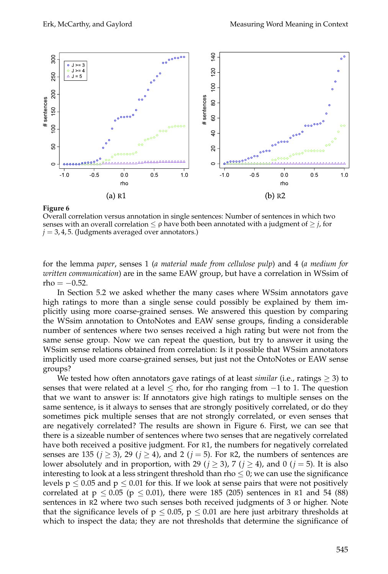

#### **Figure 6**

Overall correlation versus annotation in single sentences: Number of sentences in which two senses with an overall correlation  $\leq \rho$  have both been annotated with a judgment of  $\geq j$ , for  $j = 3, 4, 5$ . (Judgments averaged over annotators.)

for the lemma *paper*, senses 1 (*a material made from cellulose pulp*) and 4 (*a medium for written communication*) are in the same EAW group, but have a correlation in WSsim of  $rho = -0.52$ .

In Section 5.2 we asked whether the many cases where WSsim annotators gave high ratings to more than a single sense could possibly be explained by them implicitly using more coarse-grained senses. We answered this question by comparing the WSsim annotation to OntoNotes and EAW sense groups, finding a considerable number of sentences where two senses received a high rating but were not from the same sense group. Now we can repeat the question, but try to answer it using the WSsim sense relations obtained from correlation: Is it possible that WSsim annotators implicitly used more coarse-grained senses, but just not the OntoNotes or EAW sense groups?

We tested how often annotators gave ratings of at least *similar* (i.e., ratings ≥ 3) to senses that were related at a level  $\leq$  rho, for rho ranging from  $-1$  to 1. The question that we want to answer is: If annotators give high ratings to multiple senses on the same sentence, is it always to senses that are strongly positively correlated, or do they sometimes pick multiple senses that are not strongly correlated, or even senses that are negatively correlated? The results are shown in Figure 6. First, we can see that there is a sizeable number of sentences where two senses that are negatively correlated have both received a positive judgment. For R1, the numbers for negatively correlated senses are 135 ( $j \ge 3$ ), 29 ( $j \ge 4$ ), and 2 ( $j = 5$ ). For R2, the numbers of sentences are lower absolutely and in proportion, with 29 ( $j \ge 3$ ), 7 ( $j \ge 4$ ), and 0 ( $j = 5$ ). It is also interesting to look at a less stringent threshold than rho  $\leq 0$ ; we can use the significance levels  $p \le 0.05$  and  $p \le 0.01$  for this. If we look at sense pairs that were not positively correlated at  $p \le 0.05$  ( $p \le 0.01$ ), there were 185 (205) sentences in R1 and 54 (88) sentences in R2 where two such senses both received judgments of 3 or higher. Note that the significance levels of  $p \leq 0.05$ ,  $p \leq 0.01$  are here just arbitrary thresholds at which to inspect the data; they are not thresholds that determine the significance of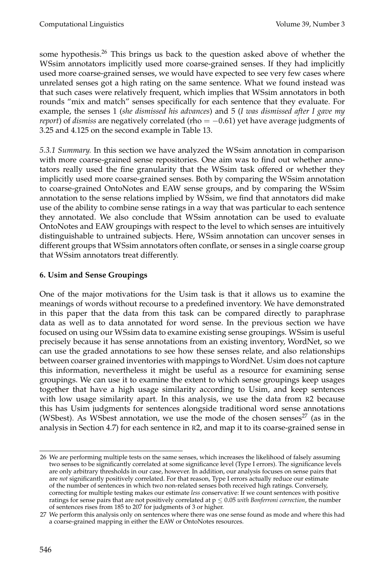some hypothesis.<sup>26</sup> This brings us back to the question asked above of whether the WSsim annotators implicitly used more coarse-grained senses. If they had implicitly used more coarse-grained senses, we would have expected to see very few cases where unrelated senses got a high rating on the same sentence. What we found instead was that such cases were relatively frequent, which implies that WSsim annotators in both rounds "mix and match" senses specifically for each sentence that they evaluate. For example, the senses 1 (*she dismissed his advances*) and 5 (*I was dismissed after I gave my report*) of *dismiss* are negatively correlated (rho = −0.61) yet have average judgments of 3.25 and 4.125 on the second example in Table 13.

*5.3.1 Summary.* In this section we have analyzed the WSsim annotation in comparison with more coarse-grained sense repositories. One aim was to find out whether annotators really used the fine granularity that the WSsim task offered or whether they implicitly used more coarse-grained senses. Both by comparing the WSsim annotation to coarse-grained OntoNotes and EAW sense groups, and by comparing the WSsim annotation to the sense relations implied by WSsim, we find that annotators did make use of the ability to combine sense ratings in a way that was particular to each sentence they annotated. We also conclude that WSsim annotation can be used to evaluate OntoNotes and EAW groupings with respect to the level to which senses are intuitively distinguishable to untrained subjects. Here, WSsim annotation can uncover senses in different groups that WSsim annotators often conflate, or senses in a single coarse group that WSsim annotators treat differently.

## **6. Usim and Sense Groupings**

One of the major motivations for the Usim task is that it allows us to examine the meanings of words without recourse to a predefined inventory. We have demonstrated in this paper that the data from this task can be compared directly to paraphrase data as well as to data annotated for word sense. In the previous section we have focused on using our WSsim data to examine existing sense groupings. WSsim is useful precisely because it has sense annotations from an existing inventory, WordNet, so we can use the graded annotations to see how these senses relate, and also relationships between coarser grained inventories with mappings to WordNet. Usim does not capture this information, nevertheless it might be useful as a resource for examining sense groupings. We can use it to examine the extent to which sense groupings keep usages together that have a high usage similarity according to Usim, and keep sentences with low usage similarity apart. In this analysis, we use the data from R2 because this has Usim judgments for sentences alongside traditional word sense annotations (WSbest). As WSbest annotation, we use the mode of the chosen senses $^{27}$  (as in the analysis in Section 4.7) for each sentence in R2, and map it to its coarse-grained sense in

<sup>26</sup> We are performing multiple tests on the same senses, which increases the likelihood of falsely assuming two senses to be significantly correlated at some significance level (Type I errors). The significance levels are only arbitrary thresholds in our case, however. In addition, our analysis focuses on sense pairs that are *not* significantly positively correlated. For that reason, Type I errors actually reduce our estimate of the number of sentences in which two non-related senses both received high ratings. Conversely, correcting for multiple testing makes our estimate *less* conservative: If we count sentences with positive ratings for sense pairs that are not positively correlated at  $p \leq 0.05$  *with Bonferroni correction*, the number of sentences rises from 185 to 207 for judgments of 3 or higher.

<sup>27</sup> We perform this analysis only on sentences where there was one sense found as mode and where this had a coarse-grained mapping in either the EAW or OntoNotes resources.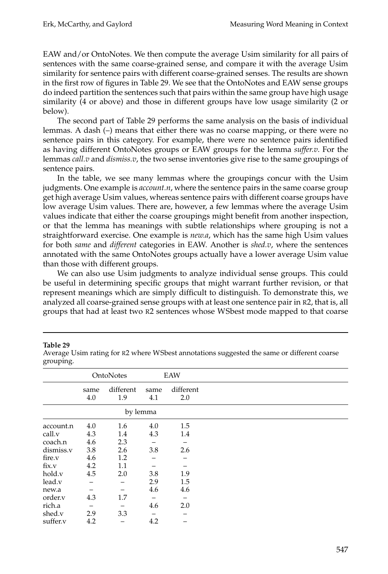EAW and/or OntoNotes. We then compute the average Usim similarity for all pairs of sentences with the same coarse-grained sense, and compare it with the average Usim similarity for sentence pairs with different coarse-grained senses. The results are shown in the first row of figures in Table 29. We see that the OntoNotes and EAW sense groups do indeed partition the sentences such that pairs within the same group have high usage similarity (4 or above) and those in different groups have low usage similarity (2 or below).

The second part of Table 29 performs the same analysis on the basis of individual lemmas. A dash (–) means that either there was no coarse mapping, or there were no sentence pairs in this category. For example, there were no sentence pairs identified as having different OntoNotes groups or EAW groups for the lemma *suffer.v*. For the lemmas *call.v* and *dismiss.v*, the two sense inventories give rise to the same groupings of sentence pairs.

In the table, we see many lemmas where the groupings concur with the Usim judgments. One example is *account.n*, where the sentence pairs in the same coarse group get high average Usim values, whereas sentence pairs with different coarse groups have low average Usim values. There are, however, a few lemmas where the average Usim values indicate that either the coarse groupings might benefit from another inspection, or that the lemma has meanings with subtle relationships where grouping is not a straightforward exercise. One example is *new.a*, which has the same high Usim values for both *same* and *different* categories in EAW. Another is *shed.v*, where the sentences annotated with the same OntoNotes groups actually have a lower average Usim value than those with different groups.

We can also use Usim judgments to analyze individual sense groups. This could be useful in determining specific groups that might warrant further revision, or that represent meanings which are simply difficult to distinguish. To demonstrate this, we analyzed all coarse-grained sense groups with at least one sentence pair in R2, that is, all groups that had at least two R2 sentences whose WSbest mode mapped to that coarse

#### **Table 29**

|           |             | OntoNotes        |             | EAW              |  |
|-----------|-------------|------------------|-------------|------------------|--|
|           | same<br>4.0 | different<br>1.9 | same<br>4.1 | different<br>2.0 |  |
|           |             | by lemma         |             |                  |  |
| account.n | 4.0         | 1.6              | 4.0         | 1.5              |  |
| call.v    | 4.3         | 1.4              | 4.3         | 1.4              |  |
| coach.n   | 4.6         | 2.3              |             |                  |  |
| dismiss.v | 3.8         | 2.6              | 3.8         | 2.6              |  |
| fire.y    | 4.6         | 1.2              |             |                  |  |
| fix.v     | 4.2         | 1.1              |             |                  |  |
| hold.v    | 4.5         | 2.0              | 3.8         | 1.9              |  |
| lead.v    |             |                  | 2.9         | 1.5              |  |
| new.a     | -           |                  | 4.6         | 4.6              |  |
| order.v   | 4.3         | 1.7              |             |                  |  |
| rich.a    |             |                  | 4.6         | 2.0              |  |
| shed.v    | 2.9         | 3.3              |             |                  |  |
| suffer.v  | 4.2         |                  | 4.2         |                  |  |

Average Usim rating for R2 where WSbest annotations suggested the same or different coarse grouping.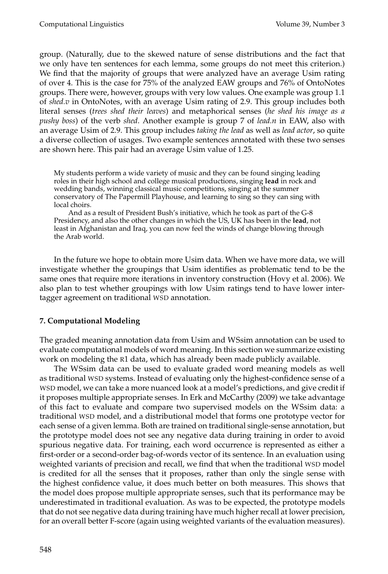group. (Naturally, due to the skewed nature of sense distributions and the fact that we only have ten sentences for each lemma, some groups do not meet this criterion.) We find that the majority of groups that were analyzed have an average Usim rating of over 4. This is the case for 75% of the analyzed EAW groups and 76% of OntoNotes groups. There were, however, groups with very low values. One example was group 1.1 of *shed.v* in OntoNotes, with an average Usim rating of 2.9. This group includes both literal senses (*trees shed their leaves*) and metaphorical senses (*he shed his image as a pushy boss*) of the verb *shed*. Another example is group 7 of *lead.n* in EAW, also with an average Usim of 2.9. This group includes *taking the lead* as well as *lead actor*, so quite a diverse collection of usages. Two example sentences annotated with these two senses are shown here. This pair had an average Usim value of 1.25.

My students perform a wide variety of music and they can be found singing leading roles in their high school and college musical productions, singing **lead** in rock and wedding bands, winning classical music competitions, singing at the summer conservatory of The Papermill Playhouse, and learning to sing so they can sing with local choirs.

And as a result of President Bush's initiative, which he took as part of the G-8 Presidency, and also the other changes in which the US, UK has been in the **lead**, not least in Afghanistan and Iraq, you can now feel the winds of change blowing through the Arab world.

In the future we hope to obtain more Usim data. When we have more data, we will investigate whether the groupings that Usim identifies as problematic tend to be the same ones that require more iterations in inventory construction (Hovy et al. 2006). We also plan to test whether groupings with low Usim ratings tend to have lower intertagger agreement on traditional WSD annotation.

## **7. Computational Modeling**

The graded meaning annotation data from Usim and WSsim annotation can be used to evaluate computational models of word meaning. In this section we summarize existing work on modeling the R1 data, which has already been made publicly available.

The WSsim data can be used to evaluate graded word meaning models as well as traditional WSD systems. Instead of evaluating only the highest-confidence sense of a WSD model, we can take a more nuanced look at a model's predictions, and give credit if it proposes multiple appropriate senses. In Erk and McCarthy (2009) we take advantage of this fact to evaluate and compare two supervised models on the WSsim data: a traditional WSD model, and a distributional model that forms one prototype vector for each sense of a given lemma. Both are trained on traditional single-sense annotation, but the prototype model does not see any negative data during training in order to avoid spurious negative data. For training, each word occurrence is represented as either a first-order or a second-order bag-of-words vector of its sentence. In an evaluation using weighted variants of precision and recall, we find that when the traditional WSD model is credited for all the senses that it proposes, rather than only the single sense with the highest confidence value, it does much better on both measures. This shows that the model does propose multiple appropriate senses, such that its performance may be underestimated in traditional evaluation. As was to be expected, the prototype models that do not see negative data during training have much higher recall at lower precision, for an overall better F-score (again using weighted variants of the evaluation measures).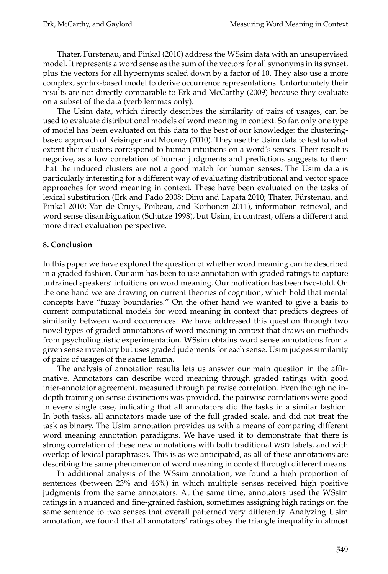Thater, Fürstenau, and Pinkal (2010) address the WSsim data with an unsupervised model. It represents a word sense as the sum of the vectors for all synonyms in its synset, plus the vectors for all hypernyms scaled down by a factor of 10. They also use a more complex, syntax-based model to derive occurrence representations. Unfortunately their results are not directly comparable to Erk and McCarthy (2009) because they evaluate on a subset of the data (verb lemmas only).

The Usim data, which directly describes the similarity of pairs of usages, can be used to evaluate distributional models of word meaning in context. So far, only one type of model has been evaluated on this data to the best of our knowledge: the clusteringbased approach of Reisinger and Mooney (2010). They use the Usim data to test to what extent their clusters correspond to human intuitions on a word's senses. Their result is negative, as a low correlation of human judgments and predictions suggests to them that the induced clusters are not a good match for human senses. The Usim data is particularly interesting for a different way of evaluating distributional and vector space approaches for word meaning in context. These have been evaluated on the tasks of lexical substitution (Erk and Pado 2008; Dinu and Lapata 2010; Thater, Fürstenau, and Pinkal 2010; Van de Cruys, Poibeau, and Korhonen 2011), information retrieval, and word sense disambiguation (Schütze 1998), but Usim, in contrast, offers a different and more direct evaluation perspective.

## **8. Conclusion**

In this paper we have explored the question of whether word meaning can be described in a graded fashion. Our aim has been to use annotation with graded ratings to capture untrained speakers' intuitions on word meaning. Our motivation has been two-fold. On the one hand we are drawing on current theories of cognition, which hold that mental concepts have "fuzzy boundaries." On the other hand we wanted to give a basis to current computational models for word meaning in context that predicts degrees of similarity between word occurrences. We have addressed this question through two novel types of graded annotations of word meaning in context that draws on methods from psycholinguistic experimentation. WSsim obtains word sense annotations from a given sense inventory but uses graded judgments for each sense. Usim judges similarity of pairs of usages of the same lemma.

The analysis of annotation results lets us answer our main question in the affirmative. Annotators can describe word meaning through graded ratings with good inter-annotator agreement, measured through pairwise correlation. Even though no indepth training on sense distinctions was provided, the pairwise correlations were good in every single case, indicating that all annotators did the tasks in a similar fashion. In both tasks, all annotators made use of the full graded scale, and did not treat the task as binary. The Usim annotation provides us with a means of comparing different word meaning annotation paradigms. We have used it to demonstrate that there is strong correlation of these new annotations with both traditional WSD labels, and with overlap of lexical paraphrases. This is as we anticipated, as all of these annotations are describing the same phenomenon of word meaning in context through different means.

In additional analysis of the WSsim annotation, we found a high proportion of sentences (between 23% and 46%) in which multiple senses received high positive judgments from the same annotators. At the same time, annotators used the WSsim ratings in a nuanced and fine-grained fashion, sometimes assigning high ratings on the same sentence to two senses that overall patterned very differently. Analyzing Usim annotation, we found that all annotators' ratings obey the triangle inequality in almost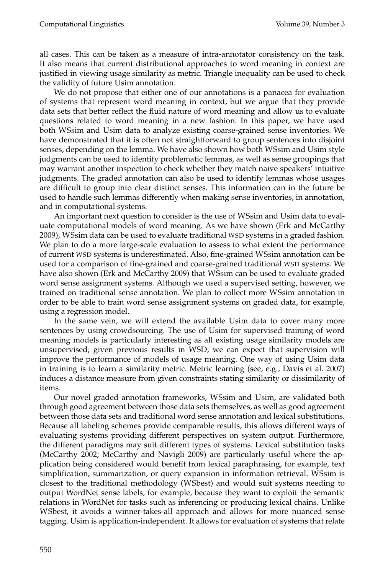all cases. This can be taken as a measure of intra-annotator consistency on the task. It also means that current distributional approaches to word meaning in context are justified in viewing usage similarity as metric. Triangle inequality can be used to check the validity of future Usim annotation.

We do not propose that either one of our annotations is a panacea for evaluation of systems that represent word meaning in context, but we argue that they provide data sets that better reflect the fluid nature of word meaning and allow us to evaluate questions related to word meaning in a new fashion. In this paper, we have used both WSsim and Usim data to analyze existing coarse-grained sense inventories. We have demonstrated that it is often not straightforward to group sentences into disjoint senses, depending on the lemma. We have also shown how both WSsim and Usim style judgments can be used to identify problematic lemmas, as well as sense groupings that may warrant another inspection to check whether they match naive speakers' intuitive judgments. The graded annotation can also be used to identify lemmas whose usages are difficult to group into clear distinct senses. This information can in the future be used to handle such lemmas differently when making sense inventories, in annotation, and in computational systems.

An important next question to consider is the use of WSsim and Usim data to evaluate computational models of word meaning. As we have shown (Erk and McCarthy 2009), WSsim data can be used to evaluate traditional WSD systems in a graded fashion. We plan to do a more large-scale evaluation to assess to what extent the performance of current WSD systems is underestimated. Also, fine-grained WSsim annotation can be used for a comparison of fine-grained and coarse-grained traditional WSD systems. We have also shown (Erk and McCarthy 2009) that WSsim can be used to evaluate graded word sense assignment systems. Although we used a supervised setting, however, we trained on traditional sense annotation. We plan to collect more WSsim annotation in order to be able to train word sense assignment systems on graded data, for example, using a regression model.

In the same vein, we will extend the available Usim data to cover many more sentences by using crowdsourcing. The use of Usim for supervised training of word meaning models is particularly interesting as all existing usage similarity models are unsupervised; given previous results in WSD, we can expect that supervision will improve the performance of models of usage meaning. One way of using Usim data in training is to learn a similarity metric. Metric learning (see, e.g., Davis et al. 2007) induces a distance measure from given constraints stating similarity or dissimilarity of items.

Our novel graded annotation frameworks, WSsim and Usim, are validated both through good agreement between those data sets themselves, as well as good agreement between those data sets and traditional word sense annotation and lexical substitutions. Because all labeling schemes provide comparable results, this allows different ways of evaluating systems providing different perspectives on system output. Furthermore, the different paradigms may suit different types of systems. Lexical substitution tasks (McCarthy 2002; McCarthy and Navigli 2009) are particularly useful where the application being considered would benefit from lexical paraphrasing, for example, text simplification, summarization, or query expansion in information retrieval. WSsim is closest to the traditional methodology (WSbest) and would suit systems needing to output WordNet sense labels, for example, because they want to exploit the semantic relations in WordNet for tasks such as inferencing or producing lexical chains. Unlike WSbest, it avoids a winner-takes-all approach and allows for more nuanced sense tagging. Usim is application-independent. It allows for evaluation of systems that relate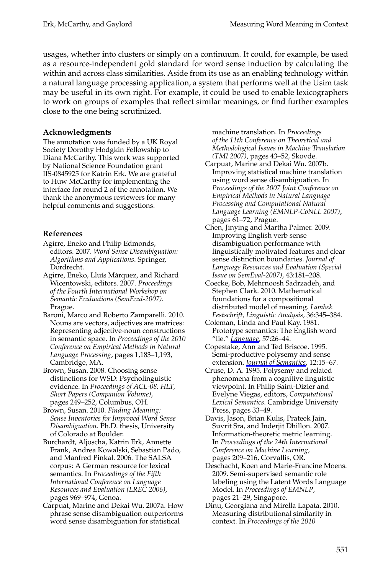usages, whether into clusters or simply on a continuum. It could, for example, be used as a resource-independent gold standard for word sense induction by calculating the within and across class similarities. Aside from its use as an enabling technology within a natural language processing application, a system that performs well at the Usim task may be useful in its own right. For example, it could be used to enable lexicographers to work on groups of examples that reflect similar meanings, or find further examples close to the one being scrutinized.

#### **Acknowledgments**

The annotation was funded by a UK Royal Society Dorothy Hodgkin Fellowship to Diana McCarthy. This work was supported by National Science Foundation grant IIS-0845925 for Katrin Erk. We are grateful to Huw McCarthy for implementing the interface for round 2 of the annotation. We thank the anonymous reviewers for many helpful comments and suggestions.

#### **References**

- Agirre, Eneko and Philip Edmonds, editors. 2007. *Word Sense Disambiguation: Algorithms and Applications*. Springer, Dordrecht.
- Agirre, Eneko, Lluís Màrquez, and Richard Wicentowski, editors. 2007. *Proceedings of the Fourth International Workshop on Semantic Evaluations (SemEval-2007)*. Prague.
- Baroni, Marco and Roberto Zamparelli. 2010. Nouns are vectors, adjectives are matrices: Representing adjective-noun constructions in semantic space. In *Proceedings of the 2010 Conference on Empirical Methods in Natural Language Processing*, pages 1,183–1,193, Cambridge, MA.
- Brown, Susan. 2008. Choosing sense distinctions for WSD: Psycholinguistic evidence. In *Proceedings of ACL-08: HLT, Short Papers (Companion Volume)*, pages 249–252, Columbus, OH.
- Brown, Susan. 2010. *Finding Meaning: Sense Inventories for Improved Word Sense Disambiguation*. Ph.D. thesis, University of Colorado at Boulder.
- Burchardt, Aljoscha, Katrin Erk, Annette Frank, Andrea Kowalski, Sebastian Pado, and Manfred Pinkal. 2006. The SALSA corpus: A German resource for lexical semantics. In *Proceedings of the Fifth International Conference on Language Resources and Evaluation (LREC 2006)*, pages 969–974, Genoa.
- Carpuat, Marine and Dekai Wu. 2007a. How phrase sense disambiguation outperforms word sense disambiguation for statistical

machine translation. In *Proceedings of the 11th Conference on Theoretical and Methodological Issues in Machine Translation (TMI 2007)*, pages 43–52, Skovde.

- Carpuat, Marine and Dekai Wu. 2007b. Improving statistical machine translation using word sense disambiguation. In *Proceedings of the 2007 Joint Conference on Empirical Methods in Natural Language Processing and Computational Natural Language Learning (EMNLP-CoNLL 2007)*, pages 61–72, Prague.
- Chen, Jinying and Martha Palmer. 2009. Improving English verb sense disambiguation performance with linguistically motivated features and clear sense distinction boundaries. *Journal of Language Resources and Evaluation (Special Issue on SemEval-2007)*, 43:181–208.
- Coecke, Bob, Mehrnoosh Sadrzadeh, and Stephen Clark. 2010. Mathematical foundations for a compositional distributed model of meaning. *Lambek Festschrift, Linguistic Analysis*, 36:345–384.
- Coleman, Linda and Paul Kay. 1981. Prototype semantics: The English word "lie." *Language*, 57:26–44.
- Copestake, Ann and Ted Briscoe. 1995. Semi-productive polysemy and sense extension. *Journal of Semantics*, 12:15–67.
- Cruse, D. A. 1995. Polysemy and related phenomena from a cognitive linguistic viewpoint. In Philip Saint-Dizier and Evelyne Viegas, editors, *Computational Lexical Semantics*. Cambridge University Press, pages 33–49.
- Davis, Jason, Brian Kulis, Prateek Jain, Suvrit Sra, and Inderjit Dhillon. 2007. Information-theoretic metric learning. In *Proceedings of the 24th International Conference on Machine Learning*, pages 209–216, Corvallis, OR.
- Deschacht, Koen and Marie-Francine Moens. 2009. Semi-supervised semantic role labeling using the Latent Words Language Model. In *Proceedings of EMNLP*, pages 21–29, Singapore.
- Dinu, Georgiana and Mirella Lapata. 2010. Measuring distributional similarity in context. In *Proceedings of the 2010*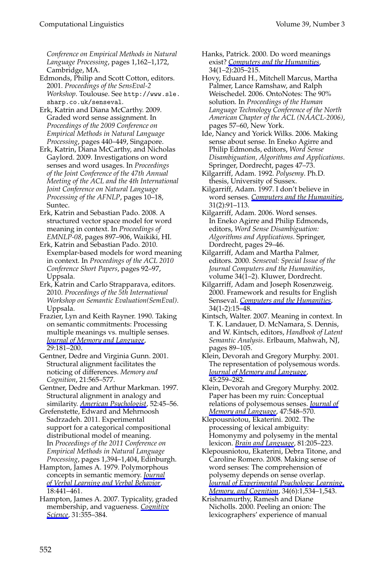#### Computational Linguistics Volume 39, Number 3

*Conference on Empirical Methods in Natural Language Processing*, pages 1,162–1,172, Cambridge, MA.

Edmonds, Philip and Scott Cotton, editors. 2001. *Proceedings of the SensEval-2 Workshop*. Toulouse. See http://www.sle. sharp.co.uk/senseval.

Erk, Katrin and Diana McCarthy. 2009. Graded word sense assignment. In *Proceedings of the 2009 Conference on Empirical Methods in Natural Language Processing*, pages 440–449, Singapore.

Erk, Katrin, Diana McCarthy, and Nicholas Gaylord. 2009. Investigations on word senses and word usages. In *Proceedings of the Joint Conference of the 47th Annual Meeting of the ACL and the 4th International Joint Conference on Natural Language Processing of the AFNLP*, pages 10–18, Suntec.

Erk, Katrin and Sebastian Pado. 2008. A structured vector space model for word meaning in context. In *Proceedings of EMNLP-08*, pages 897–906, Waikiki, HI.

Erk, Katrin and Sebastian Pado. 2010. Exemplar-based models for word meaning in context. In *Proceedings of the ACL 2010 Conference Short Papers*, pages 92–97, Uppsala.

Erk, Katrin and Carlo Strapparava, editors. 2010. *Proceedings of the 5th International Workshop on Semantic Evaluation(SemEval)*. Uppsala.

Frazier, Lyn and Keith Rayner. 1990. Taking on semantic commitments: Processing multiple meanings vs. multiple senses. *Journal of Memory and Language*, 29:181–200.

Gentner, Dedre and Virginia Gunn. 2001. Structural alignment facilitates the noticing of differences. *Memory and Cognition*, 21:565–577.

Gentner, Dedre and Arthur Markman. 1997. Structural alignment in analogy and similarity. *American Psychologist*, 52:45–56.

Grefenstette, Edward and Mehrnoosh Sadrzadeh. 2011. Experimental support for a categorical compositional distributional model of meaning. In *Proceedings of the 2011 Conference on Empirical Methods in Natural Language Processing*, pages 1,394–1,404, Edinburgh.

Hampton, James A. 1979. Polymorphous concepts in semantic memory. *Journal of Verbal Learning and Verbal Behavior*, 18:441–461.

Hampton, James A. 2007. Typicality, graded membership, and vagueness. *Cognitive Science*, 31:355–384.

Hanks, Patrick. 2000. Do word meanings exist? *Computers and the Humanities*, 34(1–2):205–215.

Hovy, Eduard H., Mitchell Marcus, Martha Palmer, Lance Ramshaw, and Ralph Weischedel. 2006. OntoNotes: The 90% solution. In *Proceedings of the Human Language Technology Conference of the North American Chapter of the ACL (NAACL-2006)*, pages 57–60, New York.

Ide, Nancy and Yorick Wilks. 2006. Making sense about sense. In Eneko Agirre and Philip Edmonds, editors, *Word Sense Disambiguation, Algorithms and Applications*. Springer, Dordrecht, pages 47–73.

Kilgarriff, Adam. 1992. *Polysemy*. Ph.D. thesis, University of Sussex.

Kilgarriff, Adam. 1997. I don't believe in word senses. *Computers and the Humanities*, 31(2):91–113.

Kilgarriff, Adam. 2006. Word senses. In Eneko Agirre and Philip Edmonds, editors, *Word Sense Disambiguation: Algorithms and Applications*. Springer, Dordrecht, pages 29–46.

Kilgarriff, Adam and Martha Palmer, editors. 2000. *Senseval: Special Issue of the Journal Computers and the Humanities*, volume 34(1–2). Kluwer, Dordrecht.

Kilgarriff, Adam and Joseph Rosenzweig. 2000. Framework and results for English Senseval. *Computers and the Humanities*, 34(1-2):15–48.

Kintsch, Walter. 2007. Meaning in context. In T. K. Landauer, D. McNamara, S. Dennis, and W. Kintsch, editors, *Handbook of Latent Semantic Analysis*. Erlbaum, Mahwah, NJ, pages 89–105.

Klein, Devorah and Gregory Murphy. 2001. The representation of polysemous words. *Journal of Memory and Language*, 45:259–282.

Klein, Devorah and Gregory Murphy. 2002. Paper has been my ruin: Conceptual relations of polysemous senses. *Journal of Memory and Language*, 47:548–570.

Klepousniotou, Ekaterini. 2002. The processing of lexical ambiguity: Homonymy and polysemy in the mental lexicon. *Brain and Language*, 81:205–223.

Klepousniotou, Ekaterini, Debra Titone, and Caroline Romero. 2008. Making sense of word senses: The comprehension of polysemy depends on sense overlap. *Journal of Experimental Psychology: Learning, Memory, and Cognition*, 34(6):1,534–1,543.

Krishnamurthy, Ramesh and Diane Nicholls. 2000. Peeling an onion: The lexicographers' experience of manual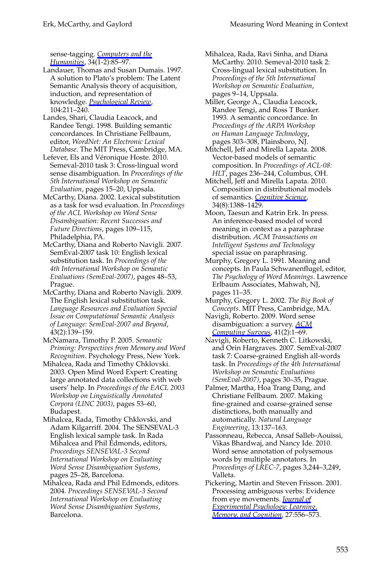sense-tagging. *Computers and the Humanities*, 34(1-2):85–97.

- Landauer, Thomas and Susan Dumais. 1997. A solution to Plato's problem: The Latent Semantic Analysis theory of acquisition, induction, and representation of knowledge. *Psychological Review*, 104:211–240.
- Landes, Shari, Claudia Leacock, and Randee Tengi. 1998. Building semantic concordances. In Christiane Fellbaum, editor, *WordNet: An Electronic Lexical Database*. The MIT Press, Cambridge, MA.
- Lefever, Els and Véronique Hoste. 2010. Semeval-2010 task 3: Cross-lingual word sense disambiguation. In *Proceedings of the 5th International Workshop on Semantic Evaluation*, pages 15–20, Uppsala.
- McCarthy, Diana. 2002. Lexical substitution as a task for wsd evaluation. In *Proceedings of the ACL Workshop on Word Sense Disambiguation: Recent Successes and Future Directions*, pages 109–115, Philadelphia, PA.
- McCarthy, Diana and Roberto Navigli. 2007. SemEval-2007 task 10: English lexical substitution task. In *Proceedings of the 4th International Workshop on Semantic Evaluations (SemEval-2007)*, pages 48–53, Prague.
- McCarthy, Diana and Roberto Navigli. 2009. The English lexical substitution task. *Language Resources and Evaluation Special Issue on Computational Semantic Analysis of Language: SemEval-2007 and Beyond*, 43(2):139–159.
- McNamara, Timothy P. 2005. *Semantic Priming: Perspectives from Memory and Word Recognition*. Psychology Press, New York.
- Mihalcea, Rada and Timothy Chklovski. 2003. Open Mind Word Expert: Creating large annotated data collections with web users' help. In *Proceedings of the EACL 2003 Workshop on Linguistically Annotated Corpora (LINC 2003)*, pages 53–60, Budapest.
- Mihalcea, Rada, Timothy Chklovski, and Adam Kilgarriff. 2004. The SENSEVAL-3 English lexical sample task. In Rada Mihalcea and Phil Edmonds, editors, *Proceedings SENSEVAL-3 Second International Workshop on Evaluating Word Sense Disambiguation Systems*, pages 25–28, Barcelona.
- Mihalcea, Rada and Phil Edmonds, editors. 2004. *Proceedings SENSEVAL-3 Second International Workshop on Evaluating Word Sense Disambiguation Systems*, Barcelona.
- Mihalcea, Rada, Ravi Sinha, and Diana McCarthy. 2010. Semeval-2010 task 2: Cross-lingual lexical substitution. In *Proceedings of the 5th International Workshop on Semantic Evaluation*, pages 9–14, Uppsala.
- Miller, George A., Claudia Leacock, Randee Tengi, and Ross T Bunker. 1993. A semantic concordance. In *Proceedings of the ARPA Workshop on Human Language Technology*, pages 303–308, Plainsboro, NJ.
- Mitchell, Jeff and Mirella Lapata. 2008. Vector-based models of semantic composition. In *Proceedings of ACL-08: HLT*, pages 236–244, Columbus, OH.
- Mitchell, Jeff and Mirella Lapata. 2010. Composition in distributional models of semantics. *Cognitive Science*, 34(8):1388–1429.
- Moon, Taesun and Katrin Erk. In press. An inference-based model of word meaning in context as a paraphrase distribution. *ACM Transactions on Intelligent Systems and Technology* special issue on paraphrasing.
- Murphy, Gregory L. 1991. Meaning and concepts. In Paula Schwanenflugel, editor, *The Psychology of Word Meanings*. Lawrence Erlbaum Associates, Mahwah, NJ, pages 11–35.
- Murphy, Gregory L. 2002. *The Big Book of Concepts*. MIT Press, Cambridge, MA.
- Navigli, Roberto. 2009. Word sense disambiguation: a survey. *ACM Computing Surveys*, 41(2):1–69.
- Navigli, Roberto, Kenneth C. Litkowski, and Orin Hargraves. 2007. SemEval-2007 task 7: Coarse-grained English all-words task. In *Proceedings of the 4th International Workshop on Semantic Evaluations (SemEval-2007)*, pages 30–35, Prague.
- Palmer, Martha, Hoa Trang Dang, and Christiane Fellbaum. 2007. Making fine-grained and coarse-grained sense distinctions, both manually and automatically. *Natural Language Engineering*, 13:137–163.
- Passonneau, Rebecca, Ansaf Salleb-Aouissi, Vikas Bhardwaj, and Nancy Ide. 2010. Word sense annotation of polysemous words by multiple annotators. In *Proceedings of LREC-7*, pages 3,244–3,249, Valleta.
- Pickering, Martin and Steven Frisson. 2001. Processing ambiguous verbs: Evidence from eye movements. *Journal of Experimental Psychology: Learning, Memory, and Cognition*, 27:556–573.